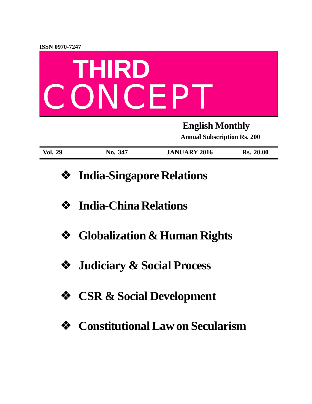

| <b>Vol. 29</b> | 347<br>$\bf{N0.}$ | <b>JANUARY 2016</b> | 20.00<br>Rs. |
|----------------|-------------------|---------------------|--------------|

- **❖ India-Singapore Relations**
- **❖ India-China Relations**
- **❖ Globalization & Human Rights**
- **❖ Judiciary & Social Process**
- **❖ CSR & Social Development**
- **❖ Constitutional Law on Secularism**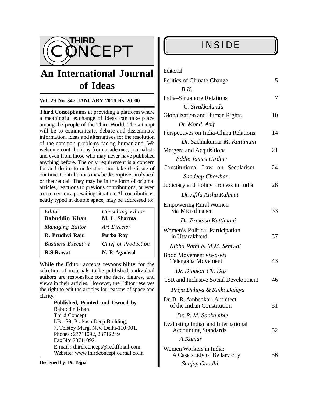

# **An International Journal of Ideas**

### **Vol. 29 No. 347 JANUARY 2016 Rs. 20. 00**

**Third Concept** aims at providing a platform where a meaningful exchange of ideas can take place among the people of the Third World. The attempt will be to communicate, debate and disseminate information, ideas and alternatives for the resolution of the common problems facing humankind. We welcome contributions from academics, journalists and even from those who may never have published anything before. The only requirement is a concern for and desire to understand and take the issue of our time. Contributions may be descriptive, analytical or theoretical. They may be in the form of original articles, reactions to previous contributions, or even a comment on a prevailing situation. All contributions, neatly typed in double space, may be addressed to:

| Editor<br><b>Babuddin Khan</b> | Consulting Editor<br>M. L. Sharma |
|--------------------------------|-----------------------------------|
| Managing Editor                | Art Director                      |
| R. Prudhvi Raju                | Purba Roy                         |
| <b>Business Executive</b>      | Chief of Production               |
| <b>R.S.Rawat</b>               | N. P. Agarwal                     |

While the Editor accepts responsibility for the selection of materials to be published, individual authors are responsible for the facts, figures, and views in their articles. However, the Editor reserves the right to edit the articles for reasons of space and clarity.

> **Published, Printed and Owned by** Babuddin Khan Third Concept LB - 39, Prakash Deep Building, 7, Tolstoy Marg, New Delhi-110 001. Phones : 23711092, 23712249 Fax No: 23711092. E-mail : [third.concept@rediffmail.com](mailto:third.concept@rediffmail.com) Website: [www.thirdconceptjournal.co.in](http://www.thirdconceptjournal.co.in)

#### **Designed by**: **Pt. Tejpal**

# **INSIDE**

| Editorial |  |
|-----------|--|
|           |  |

| Politics of Climate Change                                         | 5  |
|--------------------------------------------------------------------|----|
| B.K.                                                               |    |
| India–Singapore Relations                                          | 7  |
| C. Sivakkolundu                                                    |    |
| <b>Globalization and Human Rights</b>                              | 10 |
| Dr. Mohd. Asif                                                     |    |
| Perspectives on India-China Relations                              | 14 |
| Dr. Sachinkumar M. Kattimani                                       |    |
| Mergers and Acquisitions                                           | 21 |
| <b>Eddie James Girdner</b>                                         |    |
| Constitutional Law on Secularism                                   | 24 |
| Sandeep Chowhan                                                    |    |
| Judiciary and Policy Process in India                              | 28 |
| Dr. Afifa Aisha Rahmat                                             |    |
| <b>Empowering Rural Women</b><br>via Microfinance                  | 33 |
| Dr. Prakash Kattimani                                              |    |
| Women's Political Participation<br>in Uttarakhand                  | 37 |
| Nibha Rathi & M.M. Semwal                                          |    |
| Bodo Movement vis-à-vis<br><b>Telengana Movement</b>               | 43 |
| Dr. Dibakar Ch. Das                                                |    |
| <b>CSR</b> and Inclusive Social Development                        | 46 |
| Priya Dahiya & Rinki Dahiya                                        |    |
| Dr. B. R. Ambedkar: Architect<br>of the Indian Constitution        | 51 |
| Dr. R. M. Sonkamble                                                |    |
| Evaluating Indian and International<br><b>Accounting Standards</b> | 52 |
| A.Kumar                                                            |    |
| Women Workers in India:<br>A Case study of Bellary city            | 56 |
| Sanjay Gandhi                                                      |    |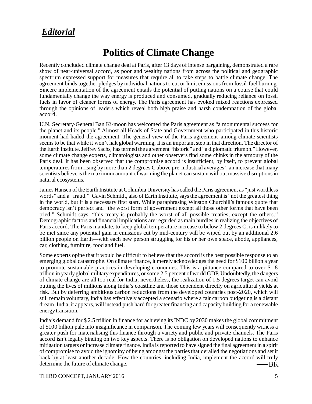# *Editorial*

# **Politics of Climate Change**

Recently concluded climate change deal at Paris, after 13 days of intense bargaining, demonstrated a rare show of near-universal accord, as poor and wealthy nations from across the political and geographic spectrum expressed support for measures that require all to take steps to battle climate change. The agreement binds together pledges by individual nations to cut or limit emissions from fossil-fuel burning. Sincere implementation of the agreement entails the potential of putting nations on a course that could fundamentally change the way energy is produced and consumed, gradually reducing reliance on fossil fuels in favor of cleaner forms of energy. The Paris agreement has evoked mixed reactions expressed through the opinions of leaders which reveal both high praise and harsh condemnation of the global accord.

U.N. Secretary-General Ban Ki-moon has welcomed the Paris agreement as "a monumental success for the planet and its people." Almost all Heads of State and Government who participated in this historic moment had hailed the agreement. The general view of the Paris agreement among climate scientists seems to be that while it won't halt global warming, it is an important step in that direction. The director of the Earth Institute, Jeffrey Sachs, has termed the agreement "historic" and "a diplomatic triumph." However, some climate change experts, climatologists and other observers find some chinks in the armoury of the Paris deal. It has been observed that the compromise accord is insufficient, by itself, to prevent global temperatures from rising by more than 2 degrees C above pre-industrial averages', an increase that many scientists believe is the maximum amount of warming the planet can sustain without massive disruptions in natural ecosystems.

James Hansen of the Earth Institute at Columbia University has called the Paris agreement as "just worthless words" and a "fraud." Gavin Schmidt, also of Earth Institute, says the agreement is "not the greatest thing in the world, but it is a necessary first start. While paraphrasing Winston Churchill's famous quote that democracy isn't perfect and "the worst form of government except all those other forms that have been tried," Schmidt says, "this treaty is probably the worst of all possible treaties, except the others." Demographic factors and financial implications are regarded as main hurdles in realizing the objectives of Paris accord. The Paris mandate, to keep global temperature increase to below 2 degrees C, is unlikely to be met since any potential gain in emissions cut by mid-century will be wiped out by an additional 2.6 billion people on Earth—with each new person struggling for his or her own space, abode, appliances, car, clothing, furniture, food and fuel.

Some experts opine that it would be difficult to believe that the accord is the best possible response to an emerging global catastrophe. On climate finance, it merely acknowledges the need for \$100 billion a year to promote sustainable practices in developing economies. This is a pittance compared to over \$1.8 trillion in yearly global military expenditures, or some 2.5 percent of world GDP. Undoubtedly, the dangers of climate change are all too real for India; nevertheless, the realization of 1.5 degrees target can avoid putting the lives of millions along India's coastline and those dependent directly on agricultural yields at risk. But by deferring ambitious carbon reductions from the developed countries post-2020, which will still remain voluntary, India has effectively accepted a scenario where a fair carbon budgeting is a distant dream. India, it appears, will instead push hard for greater financing and capacity building for a renewable energy transition.

-BK India's demand for \$ 2.5 trillion in finance for achieving its INDC by 2030 makes the global commitment of \$100 billion pale into insignificance in comparison. The coming few years will consequently witness a greater push for materialising this finance through a variety and public and private channels. The Paris accord isn't legally binding on two key aspects. There is no obligation on developed nations to enhance mitigation targets or increase climate finance. India is reported to have signed the final agreement in a spirit of compromise to avoid the ignominy of being amongst the parties that derailed the negotiations and set it back by at least another decade. How the countries, including India, implement the accord will truly determine the future of climate change.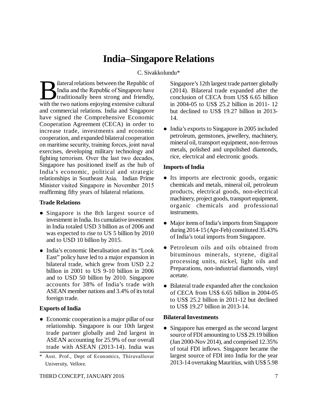# **India–Singapore Relations**

# C. Sivakkolundu\*

B ilateral relations between the Republic of India and the Republic of Singapore have traditionally been strong and friendly, with the two nations enjoying extensive cultural ilateral relations between the Republic of India and the Republic of Singapore have traditionally been strong and friendly, and commercial relations. India and Singapore have signed the Comprehensive Economic Cooperation Agreement (CECA) in order to increase trade, investments and economic cooperation, and expanded bilateral cooperation on maritime security, training forces, joint naval exercises, developing military technology and fighting terrorism. Over the last two decades, Singapore has positioned itself as the hub of India's economic, political and strategic relationships in Southeast Asia. Indian Prime Minister visited Singapore in November 2015 reaffirming fifty years of bilateral relations.

### **Trade Relations**

- Singapore is the 8th largest source of investment in India. Its cumulative investment in India totaled USD 3 billion as of 2006 and was expected to rise to US 5 billion by 2010 and to USD 10 billion by 2015.
- India's economic liberalisation and its "Look" East" policy have led to a major expansion in bilateral trade, which grew from USD 2.2 billion in 2001 to US 9-10 billion in 2006 and to USD 50 billion by 2010. Singapore accounts for 38% of India's trade with ASEAN member nations and 3.4% of its total foreign trade.

# **Exports of India**

- Economic cooperation is a major pillar of our relationship. Singapore is our 10th largest trade partner globally and 2nd largest in ASEAN accounting for 25.9% of our overall trade with ASEAN (2013-14). India was
- \* Asst. Prof., Dept of Economics, Thiruvalluvar University, Vellore.

Singapore's 12th largest trade partner globally (2014). Bilateral trade expanded after the conclusion of CECA from US\$ 6.65 billion in 2004-05 to US\$ 25.2 billion in 2011- 12 but declined to US\$ 19.27 billion in 2013- 14.

• India's exports to Singapore in 2005 included petroleum, gemstones, jewellery, machinery, mineral oil, transport equipment, non-ferrous metals, polished and unpolished diamonds, rice, electrical and electronic goods.

# **Imports of India**

- Its imports are electronic goods, organic chemicals and metals, mineral oil, petroleum products, electrical goods, non-electrical machinery, project goods, transport equipment, organic chemicals and professional instruments.
- Major items of India's imports from Singapore during 2014-15 (Apr-Feb) constituted 35.43% of India's total imports from Singapore.
- Petroleum oils and oils obtained from bituminous minerals, styrene, digital processing units, nickel, light oils and Preparations, non-industrial diamonds, vinyl acetate.
- Bilateral trade expanded after the conclusion of CECA from US\$ 6.65 billion in 2004-05 to US\$ 25.2 billion in 2011-12 but declined to US\$ 19.27 billion in 2013-14.

# **Bilateral Investments**

• Singapore has emerged as the second largest source of FDI amounting to US\$ 29.19 billion (Jan 2000-Nov 2014), and comprised 12.35% of total FDI inflows. Singapore became the largest source of FDI into India for the year 2013-14 overtaking Mauritius, with US\$ 5.98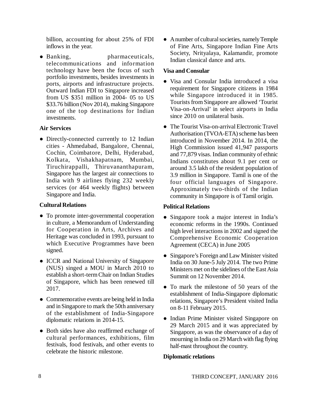billion, accounting for about 25% of FDI inflows in the year.

• Banking, pharmaceuticals, telecommunications and information technology have been the focus of such portfolio investments, besides investments in ports, airports and infrastructure projects. Outward Indian FDI to Singapore increased from US \$351 million in 2004- 05 to US \$33.76 billion (Nov 2014), making Singapore one of the top destinations for Indian investments.

### **Air Services**

 Directly-connected currently to 12 Indian cities - Ahmedabad, Bangalore, Chennai, Cochin, Coimbatore, Delhi, Hyderabad, Kolkata, Vishakhapatnam, Mumbai, Tiruchirappalli, Thiruvananthapuram, Singapore has the largest air connections to India with 9 airlines flying 232 weekly services (or 464 weekly flights) between Singapore and India.

### **Cultural Relations**

- To promote inter-governmental cooperation in culture, a Memorandum of Understanding for Cooperation in Arts, Archives and Heritage was concluded in 1993, pursuant to which Executive Programmes have been signed.
- ICCR and National University of Singapore (NUS) singed a MOU in March 2010 to establish a short-term Chair on Indian Studies of Singapore, which has been renewed till 2017.
- Commemorative events are being held in India and in Singapore to mark the 50th anniversary of the establishment of India-Singapore diplomatic relations in 2014-15.
- Both sides have also reaffirmed exchange of cultural performances, exhibitions, film festivals, food festivals, and other events to celebrate the historic milestone.

 A number of cultural societies, namely Temple of Fine Arts, Singapore Indian Fine Arts Society, Nrityalaya, Kalamandir, promote Indian classical dance and arts.

# **Visa and Consular**

- Visa and Consular India introduced a visa requirement for Singapore citizens in 1984 while Singapore introduced it in 1985. Tourists from Singapore are allowed 'Tourist Visa-on-Arrival' in select airports in India since 2010 on unilateral basis.
- The Tourist Visa-on-arrival Electronic Travel Authorisation (TVOA-ETA) scheme has been introduced in November 2014. In 2014, the High Commission issued 41,947 passports and 77,879 visas. Indian community of ethnic Indians constitutes about 9.1 per cent or around 3.5 lakh of the resident population of 3.9 million in Singapore. Tamil is one of the four official languages of Singapore. Approximately two-thirds of the Indian community in Singapore is of Tamil origin.

# **Political Relations**

- Singapore took a major interest in India's economic reforms in the 1990s. Continued high level interactions in 2002 and signed the Comprehensive Economic Cooperation Agreement (CECA) in June 2005
- Singapore's Foreign and Law Minister visited India on 30 June-5 July 2014. The two Prime Ministers met on the sidelines of the East Asia Summit on 12 November 2014.
- To mark the milestone of 50 years of the establishment of India-Singapore diplomatic relations, Singapore's President visited India on 8-11 February 2015.
- Indian Prime Minister visited Singapore on 29 March 2015 and it was appreciated by Singapore, as was the observance of a day of mourning in India on 29 March with flag flying half-mast throughout the country.

# **Diplomatic relations**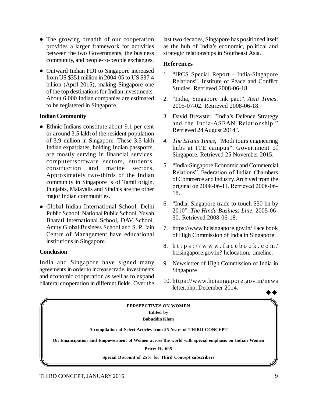- The growing breadth of our cooperation provides a larger framework for activities between the two Governments, the business community, and people-to-people exchanges.
- Outward Indian FDI to Singapore increased from US \$351 million in 2004-05 to US \$37.4 billion (April 2015), making Singapore one of the top destinations for Indian investments. About 6,000 Indian companies are estimated to be registered in Singapore.

### **Indian Community**

- Ethnic Indians constitute about 9.1 per cent or around 3.5 lakh of the resident population of 3.9 million in Singapore. These 3.5 lakh Indian expatriates, holding Indian passports, are mostly serving in financial services, computer/software sectors, students, construction and marine sectors. Approximately two-thirds of the Indian community in Singapore is of Tamil origin. Punjabis, Malayalis and Sindhis are the other major Indian communities.
- Global Indian International School, Delhi Public School, National Public School, Yuvah Bharati International School, DAV School, Amity Global Business School and S. P. Jain Centre of Management have educational institutions in Singapore.

### **Conclusion**

India and Singapore have signed many agreements in order to increase trade, investments and economic cooperation as well as to expand bilateral cooperation in different fields. Over the

last two decades, Singapore has positioned itself as the hub of India's economic, political and strategic relationships in Southeast Asia.

### **References**

- 1. "IPCS Special Report India-Singapore Relations". Institute of Peace and Conflict Studies. Retrieved 2008-06-18.
- 2. "India, Singapore ink pact". *Asia Times*. 2005-07-02. Retrieved 2008-06-18.
- 3. David Brewster. "India's Defence Strategy and the India-ASEAN Relationship." Retrieved 24 August 2014".
- *4. The Straits Times*, "Modi tours engineering hubs at ITE campus". Government of Singapore. Retrieved 25 November 2015.
- 5. "India-Singapore Economic and Commercial Relations". Federation of Indian Chambers of Commerce and Industry. Archived from the original on 2008-06-11. Retrieved 2008-06- 18.
- 6. "India, Singapore trade to touch \$50 bn by 2010". *The Hindu Business Line*. 2005-06- 30. Retrieved 2008-06-18.
- 7. <https://www.hcisingapore.gov.in/>Face book of High Commission of India in Singapore.
- 8. https://www.facebook.com/ hcisingapore.gov.in? hclocation, timeline.
- 9. Newsletter of High Commission of India in Singapore
- 10. https://www.hcisingapore.gov.in/news letter.php, December 2014.

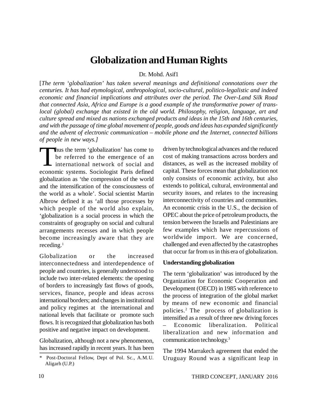# **Globalization and Human Rights**

Dr. Mohd. Asif1

[*The term 'globalization' has taken several meanings and definitional connotations over the centuries. It has had etymological, anthropological, socio-cultural, politico-legalistic and indeed economic and financial implications and attributes over the period. The Over-Land Silk Road that connected Asia, Africa and Europe is a good example of the transformative power of translocal (global) exchange that existed in the old world. Philosophy, religion, language, art and culture spread and mixed as nations exchanged products and ideas in the 15th and 16th centuries, and with the passage of time global movement of people, goods and ideas has expanded significantly and the advent of electronic communication – mobile phone and the Internet, connected billions of people in new ways.]*

Thus the term 'globalization' has come to<br>be referred to the emergence of an<br>international network of social and<br>economic systems. Sociologist Paris defined hus the term 'globalization' has come to be referred to the emergence of an I international network of social and globalization as 'the compression of the world and the intensification of the consciousness of the world as a whole'. Social scientist Martin Albrow defined it as 'all those processes by which people of the world also explain, 'globalization is a social process in which the constraints of geography on social and cultural arrangements recesses and in which people become increasingly aware that they are receding.<sup>1</sup>

Globalization or the increased interconnectedness and interdependence of people and countries, is generally understood to include two inter-related elements: the opening of borders to increasingly fast flows of goods, services, finance, people and ideas across international borders; and changes in institutional and policy regimes at the international and national levels that facilitate or promote such flows. It is recognized that globalization has both positive and negative impact on development.

Globalization, although not a new phenomenon, has increased rapidly in recent years. It has been

driven by technological advances and the reduced cost of making transactions across borders and distances, as well as the increased mobility of capital. These forces mean that globalization not only consists of economic activity, but also extends to political, cultural, environmental and security issues, and relates to the increasing interconnectivity of countries and communities. An economic crisis in the U.S., the decision of OPEC about the price of petroleum products, the tension between the Israelis and Palestinians are few examples which have repercussions of worldwide import. We are concerned, challenged and even affected by the catastrophes that occur far from us in this era of globalization.

#### **Understanding globalization**

The term 'globalization' was introduced by the Organization for Economic Cooperation and Development (OECD) in 1985 with reference to the process of integration of the global market by means of new economic and financial policies.<sup>2</sup> The process of globalization is intensified as a result of three new driving forces – Economic liberalization. Political liberalization and new information and communication technology.<sup>3</sup>

The 1994 Marrakech agreement that ended the Uruguay Round was a significant leap in

Post-Doctoral Fellow, Dept of Pol. Sc., A.M.U. Aligarh (U.P.)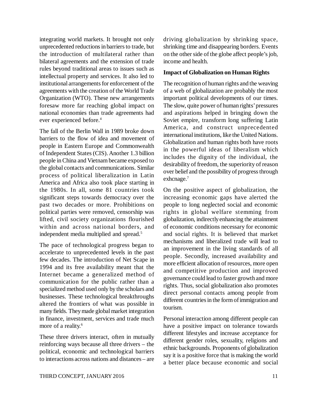integrating world markets. It brought not only unprecedented reductions in barriers to trade, but the introduction of multilateral rather than bilateral agreements and the extension of trade rules beyond traditional areas to issues such as intellectual property and services. It also led to institutional arrangements for enforcement of the agreements with the creation of the World Trade Organization (WTO). These new arrangements foresaw more far reaching global impact on national economies than trade agreements had ever experienced before.<sup>4</sup>

The fall of the Berlin Wall in 1989 broke down barriers to the flow of idea and movement of people in Eastern Europe and Commonwealth of Independent States (CIS). Another 1.3 billion people in China and Vietnam became exposed to the global contacts and communications. Similar process of political liberalization in Latin America and Africa also took place starting in the 1980s. In all, some 81 countries took significant steps towards democracy over the past two decades or more. Prohibitions on political parties were removed, censorship was lifted, civil society organizations flourished within and across national borders, and independent media multiplied and spread.<sup>5</sup>

The pace of technological progress began to accelerate to unprecedented levels in the past few decades. The introduction of Net Scape in 1994 and its free availability meant that the Internet became a generalized method of communication for the public rather than a specialized method used only by the scholars and businesses. These technological breakthroughs altered the frontiers of what was possible in many fields. They made global market integration in finance, investment, services and trade much more of a reality.<sup>6</sup>

These three drivers interact, often in mutually reinforcing ways because all three drivers – the political, economic and technological barriers to interactions across nations and distances – are

driving globalization by shrinking space, shrinking time and disappearing borders. Events on the other side of the globe affect people's job, income and health.

### **Impact of Globalization on Human Rights**

The recognition of human rights and the weaving of a web of globalization are probably the most important political developments of our times. The slow, quite power of human rights' pressures and aspirations helped in bringing down the Soviet empire, transform long suffering Latin America, and construct unprecedented international institutions, like the United Nations. Globalization and human rights both have roots in the powerful ideas of liberalism which includes the dignity of the individual, the desirability of freedom, the superiority of reason over belief and the possibility of progress through exhcnage.<sup>7</sup>

On the positive aspect of globalization, the increasing economic gaps have alerted the people to long neglected social and economic rights in global welfare stemming from globalization, indirectly enhancing the attainment of economic conditions necessary for economic and social rights. It is believed that market mechanisms and liberalized trade will lead to an improvement in the living standards of all people. Secondly, increased availability and more efficient allocation of resources, more open and competitive production and improved governance could lead to faster growth and more rights. Thus, social globalization also promotes direct personal contacts among people from different countries in the form of immigration and tourism.

Personal interaction among different people can have a positive impact on tolerance towards different lifestyles and increase acceptance for different gender roles, sexuality, religions and ethnic backgrounds. Proponents of globalization say it is a positive force that is making the world a better place because economic and social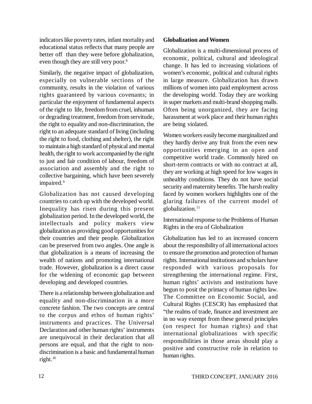indicators like poverty rates, infant mortality and educational status reflects that many people are better off than they were before globalization, even though they are still very poor.<sup>8</sup>

Similarly, the negative impact of globalization, especially on vulnerable sections of the community, results in the violation of various rights guaranteed by various covenants; in particular the enjoyment of fundamental aspects of the right to life, freedom from cruel, inhuman or degrading treatment, freedom from servitude, the right to equality and non-discrimination, the right to an adequate standard of living (including the right to food, clothing and shelter), the right to maintain a high standard of physical and mental health, the right to work accompanied by the right to just and fair condition of labour, freedom of association and assembly and the right to collective bargaining, which have been severely impaired.<sup>9</sup>

Globalization has not caused developing countries to catch up with the developed world. Inequality has risen during this present globalization period. In the developed world, the intellectuals and policy makers view globalization as providing good opportunities for their countries and their people. Globalization can be preserved from two angles. One angle is that globalization is a means of increasing the wealth of nations and promoting international trade. However, globalization is a direct cause for the widening of economic gap between developing and developed countries.

There is a relationship between globalization and equality and non-discrimination in a more concrete fashion. The two concepts are central to the corpus and ethos of human rights' instruments and practices. The Universal Declaration and other human rights' instruments are unequivocal in their declaration that all persons are equal, and that the right to nondiscrimination is a basic and fundamental human right.<sup>10</sup>

### **Globalization and Women**

Globalization is a multi-dimensional process of economic, political, cultural and ideological change. It has led to increasing violations of women's economic, political and cultural rights in large measure. Globalization has drawn millions of women into paid employment across the developing world. Today they are working in super markets and multi-brand shopping malls. Often being unorganized, they are facing harassment at work place and their human rights are being violated.

Women workers easily become marginalized and they hardly derive any fruit from the even new opportunities emerging in an open and competitive world trade. Commonly hired on short-term contracts or with no contract at all, they are working at high speed for low wages in unhealthy conditions. They do not have social security and maternity benefits. The harsh reality faced by women workers highlights one of the glaring failures of the current model of globalization.<sup>11</sup>

International response to the Problems of Human Rights in the era of Globalization

Globalization has led to an increased concern about the responsibility of all international actors to ensure the promotion and protection of human rights. International institutions and scholars have responded with various proposals for strengthening the international regime. First, human rights' activists and institutions have begun to posit the primacy of human rights law. The Committee on Economic Social, and Cultural Rights (CESCR) has emphasized that "the realms of trade, finance and investment are in no way exempt from these general principles (on respect for human rights) and that international globalizations with specific responsibilities in those areas should play a positive and constructive role in relation to human rights.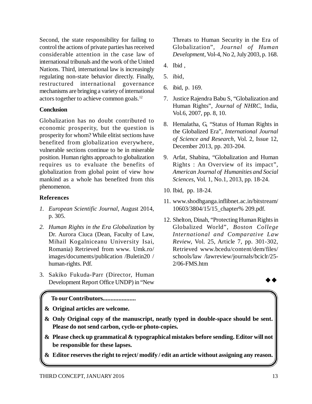Second, the state responsibility for failing to control the actions of private parties has received considerable attention in the case law of international tribunals and the work of the United Nations. Third, international law is increasingly regulating non-state behavior directly. Finally, restructured international governance mechanisms are bringing a variety of international actors together to achieve common goals.<sup>12</sup>

### **Conclusion**

Globalization has no doubt contributed to economic prosperity, but the question is prosperity for whom? While elitist sections have benefited from globalization everywhere, vulnerable sections continue to be in miserable position. Human rights approach to globalization requires us to evaluate the benefits of globalization from global point of view how mankind as a whole has benefited from this phenomenon.

# **References**

- *1. European Scientific Journal*, August 2014, p. 305.
- *2. Human Rights in the Era Globalization* by Dr. Aurora Ciuca (Dean, Faculty of Law, Mihail Kogalniceanu University Isai, Romania) Retrieved from www. Umk.ro/ images/documents/publication /Buletin20 / human-rights. Pdf.
- 3. Sakiko Fukuda-Parr (Director, Human Development Report Office UNDP) in "New

Threats to Human Security in the Era of Globalization", *Journal of Human Development*, Vol-4, No 2, July 2003, p. 168.

- 4. Ibid ,
- 5. ibid,
- 6. ibid, p. 169.
- 7. Justice Rajendra Babu S, "Globalization and Human Rights", *Journal of NHRC*, India, Vol.6, 2007, pp. 8, 10.
- 8. Hemalatha, G, "Status of Human Rights in the Globalized Era", *International Journal of Science and Research*, Vol. 2, Issue 12, December 2013, pp. 203-204.
- 9. Arfat, Shabina, "Globalization and Human Rights : An Overview of its impact", *American Journal of Humanities and Social Sciences*, Vol. 1, No.1, 2013, pp. 18-24.
- 10. Ibid, pp. 18-24.
- 11. [www.shodhganga.inflibnet.ac.in/bitstream/](http://www.shodhganga.inflibnet.ac.in/bitstream/) 10603/3804/15/15\_chapter% 209.pdf.
- 12. Shelton, Dinah, "Protecting Human Rights in Globalized World", *Boston College International and Comparative Law Review*, Vol. 25, Article 7, pp. 301-302, Retrieved www.bcedu/content/dem/files/ schools/law /lawreview/journals/bciclr/25- 2/06-FMS.htm



**To our Contributors.....................**

**& Original articles are welcome.**

- **& Only Original copy of the manuscript, neatly typed in double-space should be sent. Please do not send carbon, cyclo-or photo-copies.**
- **& Please check up grammatical & typographical mistakes before sending. Editor will not be responsible for these lapses.**
- **& Editor reserves the right to reject/ modify / edit an article without assigning any reason.**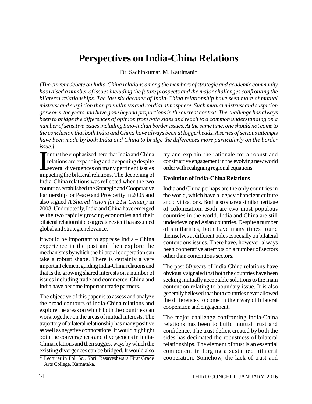# **Perspectives on India-China Relations**

Dr. Sachinkumar. M. Kattimani\*

*[The current debate on India-China relations among the members of strategic and academic community has raised a number of issues including the future prospects and the major challenges confronting the bilateral relationships. The last six decades of India-China relationship have seen more of mutual mistrust and suspicion than friendliness and cordial atmosphere. Such mutual mistrust and suspicion grew over the years and have gone beyond proportions in the current context. The challenge has always been to bridge the differences of opinion from both sides and reach to a common understanding on a number of sensitive issues including Sino-Indian border issues. At the same time, one should not come to the conclusion that both India and China have always been at loggerheads. A series of serious attempts have been made by both India and China to bridge the differences more particularly on the border issue.]*

 $\prod_{\substack{1\\ \text{imp}}}$ **T**t must be emphasized here that India and China relations are expanding and deepening despite several divergences on many pertinent issues impacting the bilateral relations. The deepening of India-China relations was reflected when the two countries established the Strategic and Cooperative Partnership for Peace and Prosperity in 2005 and also signed *A Shared Vision for 21st Century* in 2008. Undoubtedly, India and China have emerged as the two rapidly growing economies and their bilateral relationship to a greater extent has assumed global and strategic relevance.

It would be important to appraise India – China experience in the past and then explore the mechanisms by which the bilateral cooperation can take a robust shape. There is certainly a very important element guiding India-China relations and that is the growing shared interests on a number of issues including trade and commerce. China and India have become important trade partners.

The objective of this paper is to assess and analyze the broad contours of India-China relations and explore the areas on which both the countries can work together on the areas of mutual interests. The trajectory of bilateral relationship has many positive as well as negative connotations. It would highlight both the convergences and divergences in India-China relations and then suggest ways by which the existing divergences can be bridged. It would also try and explain the rationale for a robust and constructive engagement in the evolving new world order with realigning regional equations.

#### **Evolution of India-China Relations**

India and China perhaps are the only countries in the world, which have a legacy of ancient culture and civilizations. Both also share a similar heritage of colonization. Both are two most populous countries in the world. India and China are still underdeveloped Asian countries. Despite a number of similarities, both have many times found themselves at different poles especially on bilateral contentious issues. There have, however, always been cooperative attempts on a number of sectors other than contentious sectors.

The past 60 years of India China relations have obviously signaled that both the countries have been seeking mutually acceptable solutions to the main contention relating to boundary issue. It is also generally believed that both countries never allowed the differences to come in their way of bilateral cooperation and engagement.

The major challenge confronting India-China relations has been to build mutual trust and confidence. The trust deficit created by both the sides has decimated the robustness of bilateral relationships. The element of trust is an essential component in forging a sustained bilateral cooperation. Somehow, the lack of trust and

<sup>\*</sup> Lecturer in Pol. Sc., Shri Basaveshwara First Grade Arts College, Karnataka.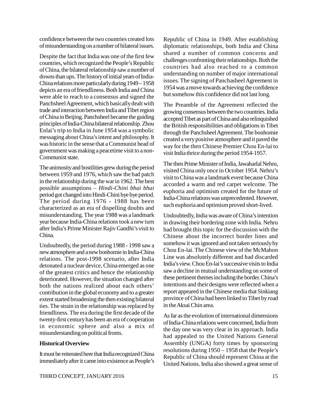confidence between the two countries created lots of misunderstanding on a number of bilateral issues.

Despite the fact that India was one of the first few countries, which recognized the People's Republic of China, the bilateral relationship saw a number of downs than ups. The history of initial years of India-China relations more particularly during 1949 – 1958 depicts an era of friendliness. Both India and China were able to reach to a consensus and signed the Panchsheel Agreement, which basically dealt with trade and interaction between India and Tibet region of China in Beijing. Panchsheel became the guiding principles of India-China bilateral relationship. Zhou Enlai's trip to India in June 1954 was a symbolic messaging about China's intent and philosophy. It was historic in the sense that a Communist head of government was making a peacetime visit to a non-Communist state.

The animosity and hostilities grew during the period between 1959 and 1976, which saw the bad patch in the relationship during the war in 1962. The best possible assumptions – *Hindi-Chini bhai bhai* period got changed into Hindi-Chini bye bye period. The period during 1976 - 1988 has been characterized as an era of dispelling doubts and misunderstanding. The year 1988 was a landmark year because India-China relations took a new turn after India's Prime Minister Rajiv Gandhi's visit to China.

Undoubtedly, the period during 1988 - 1998 saw a new atmosphere and a new bonhomie in India-China relations. The post-1998 scenario, after India detonated a nuclear device, China emerged as one of the greatest critics and hence the relationship deteriorated. However, the situation changed after both the nations realized about each others' contribution in the global economy and to a greater extent started broadening the then existing bilateral ties. The strain in the relationship was replaced by friendliness. The era during the first decade of the twenty-first century has been an era of cooperation in economic sphere and also a mix of misunderstanding on political fronts.

### **Historical Overview**

It must be reiterated here that India recognized China immediately after it came into existence as People's

Republic of China in 1949. After establishing diplomatic relationships, both India and China shared a number of common concerns and challenges confronting their relationships. Both the countries had also reached to a common understanding on number of major international issues. The signing of Panchasheel Agreement in 1954 was a move towards achieving the confidence but somehow this confidence did not last long.

The Preamble of the Agreement reflected the growing consensus between the two countries. India accepted Tibet as part of China and also relinquished the British responsibilities and obligations in Tibet through the Panchsheel Agreement. The bonhomie created a very positive atmosphere and it paved the way for the then Chinese Premier Chou En-lai to visit India thrice during the period 1954-1957.

The then Prime Minister of India, Jawaharlal Nehru, visited China only once in October 1954. Nehru's visit to China was a landmark event because China accorded a warm and red carpet welcome. The euphoria and optimism created for the future of India-China relations was unprecedented. However, such euphoria and optimism proved short-lived.

Undoubtedly, India was aware of China's intention in drawing their bordering zone with India. Nehru had brought this topic for the discussion with the Chinese about the incorrect border lines and somehow it was ignored and not taken seriously by Chou En-lai. The Chinese view of the McMahon Line was absolutely different and had discarded India's view. Chou En-lai's successive visits to India saw a decline in mutual understanding on some of these pertinent themes including the border. China's intentions and their designs were reflected when a report appeared in the Chinese media that Sinkiang province of China had been linked to Tibet by road in the Aksai Chin area.

As far as the evolution of international dimensions of India-China relations were concerned, India from the day one was very clear in its approach. India had appealed to the United Nations General Assembly (UNGA) forty times by sponsoring resolutions during 1950 – 1958 that the People's Republic of China should represent China at the United Nations. India also showed a great sense of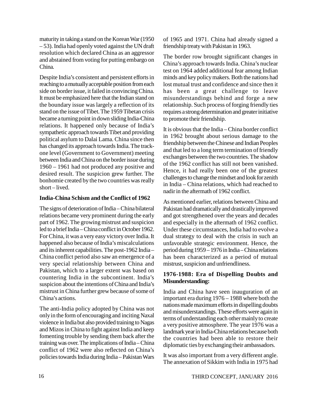maturity in taking a stand on the Korean War (1950 – 53). India had openly voted against the UN draft resolution which declared China as an aggressor and abstained from voting for putting embargo on China.

Despite India's consistent and persistent efforts in reaching to a mutually acceptable position from each side on border issue, it failed in convincing China. It must be emphasized here that the Indian stand on the boundary issue was largely a reflection of its stand on the issue of Tibet. The 1959 Tibetan crisis became a turning point in down sliding India-China relations. It happened only because of India's sympathetic approach towards Tibet and providing political asylum to Dalai Lama. China since then has changed its approach towards India. The trackone level (Government to Government) meeting between India and China on the border issue during 1960 – 1961 had not produced any positive and desired result. The suspicion grew further. The bonhomie created by the two countries was really short – lived.

### **India-China Schism and the Conflict of 1962**

The signs of deterioration of India – China bilateral relations became very prominent during the early part of 1962. The growing mistrust and suspicion led to a brief India – China conflict in October 1962. For China, it was a very easy victory over India. It happened also because of India's miscalculations and its inherent capabilities. The post-1962 India – China conflict period also saw an emergence of a very special relationship between China and Pakistan, which to a larger extent was based on countering India in the subcontinent. India's suspicion about the intentions of China and India's mistrust in China further grew because of some of China's actions.

The anti-India policy adopted by China was not only in the form of encouraging and inciting Naxal violence in India but also provided training to Nagas and Mizos in China to fight against India and keep fomenting trouble by sending them back after the training was over. The implications of India – China conflict of 1962 were also reflected on China's policies towards India during India – Pakistan Wars of 1965 and 1971. China had already signed a friendship treaty with Pakistan in 1963.

The border row brought significant changes in China's approach towards India. China's nuclear test on 1964 added additional fear among Indian minds and key policy makers. Both the nations had lost mutual trust and confidence and since then it has been a great challenge to leave misunderstandings behind and forge a new relationship. Such process of forging friendly ties requires a strong determination and greater initiative to promote their friendship.

It is obvious that the India – China border conflict in 1962 brought about serious damage to the friendship between the Chinese and Indian Peoples and that led to a long term termination of friendly exchanges between the two countries. The shadow of the 1962 conflict has still not been vanished. Hence, it had really been one of the greatest challenges to change the mindset and look for zenith in India – China relations, which had reached to nadir in the aftermath of 1962 conflict.

As mentioned earlier, relations between China and Pakistan had dramatically and drastically improved and got strengthened over the years and decades and especially in the aftermath of 1962 conflict. Under these circumstances, India had to evolve a dual strategy to deal with the crisis in such an unfavorable strategic environment. Hence, the period during 1959 – 1976 in India – China relations has been characterized as a period of mutual mistrust, suspicion and unfriendliness.

### **1976-1988: Era of Dispelling Doubts and Misunderstanding:**

India and China have seen inauguration of an important era during 1976 – 1988 where both the nations made maximum efforts in dispelling doubts and misunderstandings. These efforts were again in terms of understanding each other mainly to create a very positive atmosphere. The year 1976 was a landmark year in India-China relations because both the countries had been able to restore their diplomatic ties by exchanging their ambassadors.

It was also important from a very different angle. The annexation of Sikkim with India in 1975 had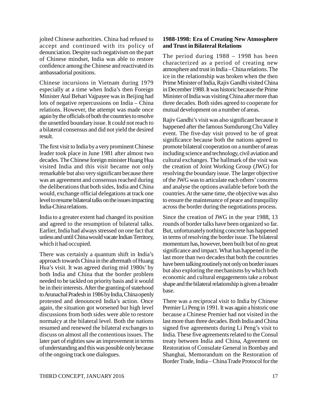jolted Chinese authorities. China had refused to accept and continued with its policy of denunciation. Despite such negativism on the part of Chinese mindset, India was able to restore confidence among the Chinese and reactivated its ambassadorial positions.

Chinese incursions in Vietnam during 1979 especially at a time when India's then Foreign Minister Atal Behari Vajpayee was in Beijing had lots of negative repercussions on India – China relations. However, the attempt was made once again by the officials of both the countries to resolve the unsettled boundary issue. It could not reach to a bilateral consensus and did not yield the desired result.

The first visit to India by a very prominent Chinese leader took place in June 1981 after almost two decades. The Chinese foreign minister Huang Hua visited India and this visit became not only remarkable but also very significant because there was an agreement and consensus reached during the deliberations that both sides, India and China would, exchange official delegations at track one level to resume bilateral talks on the issues impacting India-China relations.

India to a greater extent had changed its position and agreed to the resumption of bilateral talks. Earlier, India had always stressed on one fact that unless and until China would vacate Indian Territory, which it had occupied.

There was certainly a quantum shift in India's approach towards China in the aftermath of Huang Hua's visit. It was agreed during mid 1980s' by both India and China that the border problem needed to be tackled on priority basis and it would be in their interests. After the granting of statehood to Arunachal Pradesh in 1986 by India, China openly protested and denounced India's action. Once again, the situation got worsened but high level discussions from both sides were able to restore normalcy at the bilateral level. Both the nations resumed and renewed the bilateral exchanges to discuss on almost all the contentious issues. The later part of eighties saw an improvement in terms of understanding and this was possible only because of the ongoing track one dialogues.

### **1988-1998: Era of Creating New Atmosphere and Trust in Bilateral Relations**

The period during 1988 – 1998 has been characterized as a period of creating new atmosphere and trust in India – China relations. The ice in the relationship was broken when the then Prime Minister of India, Rajiv Gandhi visited China in December 1988. It was historic because the Prime Minister of India was visiting China after more than three decades. Both sides agreed to cooperate for mutual development on a number of areas.

Rajiv Gandhi's visit was also significant because it happened after the famous Sumdurong Chu Valley event. The five-day visit proved to be of great significance because both the nations agreed to promote bilateral cooperation on a number of areas including science and technology, civil aviation and cultural exchanges. The hallmark of the visit was the creation of Joint Working Group (JWG) for resolving the boundary issue. The larger objective of the JWG was to articulate each others' concerns and analyse the options available before both the countries. At the same time, the objective was also to ensure the maintenance of peace and tranquility across the border during the negotiations process.

Since the creation of JWG in the year 1988, 13 rounds of border talks have been organized so far. But, unfortunately nothing concrete has happened in terms of resolving the border issue. The bilateral momentum has, however, been built but of no great significance and impact. What has happened in the last more than two decades that both the countries have been talking routinely not only on border issues but also exploring the mechanisms by which both economic and cultural engagements take a robust shape and the bilateral relationship is given a broader base.

There was a reciprocal visit to India by Chinese Premier Li Peng in 1991. It was again a historic one because a Chinese Premier had not visited in the last more than three decades. Both India and China signed five agreements during Li Peng's visit to India. These five agreements related to the Consul treaty between India and China, Agreement on Restoration of Consulate General in Bombay and Shanghai, Memorandum on the Restoration of Border Trade, India – China Trade Protocol for the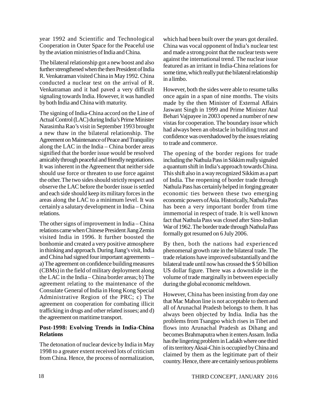year 1992 and Scientific and Technological Cooperation in Outer Space for the Peaceful use by the aviation ministries of India and China.

The bilateral relationship got a new boost and also further strengthened when the then President of India R. Venkatraman visited China in May 1992. China conducted a nuclear test on the arrival of R. Venkatraman and it had paved a very difficult signaling towards India. However, it was handled by both India and China with maturity.

The signing of India-China accord on the Line of Actual Control (LAC) during India's Prime Minister Narasimha Rao's visit in September 1993 brought a new thaw in the bilateral relationship. The Agreement on Maintenance of Peace and Tranquility along the LAC in the India – China border areas signified that the border issue would be resolved amicably through peaceful and friendly negotiations. It was inherent in the Agreement that neither side should use force or threaten to use force against the other. The two sides should strictly respect and observe the LAC before the border issue is settled and each side should keep its military forces in the areas along the LAC to a minimum level. It was certainly a salutary development in India – China relations.

The other signs of improvement in India – China relations came when Chinese President Jiang Zemin visited India in 1996. It further boosted the bonhomie and created a very positive atmosphere in thinking and approach. During Jiang's visit, India and China had signed four important agreements – a) The agreement on confidence building measures (CBMs) in the field of military deployment along the LAC in the India – China border areas; b) The agreement relating to the maintenance of the Consulate General of India in Hong Kong Special Administrative Region of the PRC; c) The agreement on cooperation for combating illicit trafficking in drugs and other related issues; and d) the agreement on maritime transport.

# **Post-1998: Evolving Trends in India-China Relations**

The detonation of nuclear device by India in May 1998 to a greater extent received lots of criticism from China. Hence, the process of normalization, which had been built over the years got derailed. China was vocal opponent of India's nuclear test and made a strong point that the nuclear tests were against the international trend. The nuclear issue featured as an irritant in India-China relations for some time, which really put the bilateral relationship in a limbo.

However, both the sides were able to resume talks once again in a span of nine months. The visits made by the then Minister of External Affairs Jaswant Singh in 1999 and Prime Minister Atal Behari Vajpayee in 2003 opened a number of new vistas for cooperation. The boundary issue which had always been an obstacle in building trust and confidence was overshadowed by the issues relating to trade and commerce.

The opening of the border regions for trade including the Nathula Pass in Sikkim really signaled a quantum shift in India's approach towards China. This shift also in a way recognized Sikkim as a part of India. The reopening of border trade through Nathula Pass has certainly helped in forging greater economic ties between these two emerging economic powers of Asia. Historically, Nathula Pass has been a very important border from time immemorial in respect of trade. It is well known fact that Nathula Pass was closed after Sino-Indian War of 1962. The border trade through Nathula Pass formally got resumed on 6 July 2006.

By then, both the nations had experienced phenomenal growth rate in the bilateral trade. The trade relations have improved substantially and the bilateral trade until now has crossed the \$ 50 billion US dollar figure. There was a downslide in the volume of trade marginally in between especially during the global economic meltdown.

However, China has been insisting from day one that Mac Mahon line is not acceptable to them and all of Arunachal Pradesh belongs to them. It has always been objected by India. India has the problems from Tsangpo which rises in Tibet and flows into Arunachal Pradesh as Dihang and becomes Brahmaputra when it enters Assam. India has the lingering problem in Ladakh where one third of its territory Aksai-Chin is occupied by China and claimed by them as the legitimate part of their country. Hence, there are certainly serious problems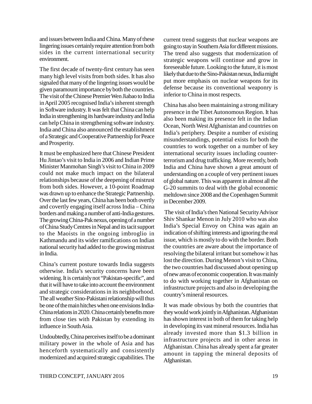and issues between India and China. Many of these lingering issues certainly require attention from both sides in the current international security environment.

The first decade of twenty-first century has seen many high level visits from both sides. It has also signaled that many of the lingering issues would be given paramount importance by both the countries. The visit of the Chinese Premier Wen Jiabao to India in April 2005 recognised India's inherent strength in Software industry. It was felt that China can help India in strengthening its hardware industry and India can help China in strengthening software industry. India and China also announced the establishment of a Strategic and Cooperative Partnership for Peace and Prosperity.

It must be emphasized here that Chinese President Hu Jintao's visit to India in 2006 and Indian Prime Minister Manmohan Singh's visit to China in 2009 could not make much impact on the bilateral relationships because of the deepening of mistrust from both sides. However, a 10-point Roadmap was drawn up to enhance the Strategic Partnership. Over the last few years, China has been both overtly and covertly engaging itself across India – China borders and making a number of anti-India gestures. The growing China-Pak nexus, opening of a number of China Study Centres in Nepal and its tacit support to the Maoists in the ongoing imbroglio in Kathmandu and its wider ramifications on Indian national security had added to the growing mistrust in India.

China's current posture towards India suggests otherwise. India's security concerns have been widening. It is certainly not "Pakistan-specific", and that it will have to take into account the environment and strategic considerations in its neighborhood. The all weather Sino-Pakistani relationship will thus be one of the main hitches when one envisions India-China relations in 2020. China certainly benefits more from close ties with Pakistan by extending its influence in South Asia.

Undoubtedly, China perceives itself to be a dominant military power in the whole of Asia and has henceforth systematically and consistently modernized and acquired strategic capabilities. The current trend suggests that nuclear weapons are going to stay in Southern Asia for different missions. The trend also suggests that modernization of strategic weapons will continue and grow in foreseeable future. Looking to the future, it is most likely that due to the Sino-Pakistan nexus, India might put more emphasis on nuclear weapons for its defense because its conventional weaponry is inferior to China in most respects.

China has also been maintaining a strong military presence in the Tibet Autonomous Region. It has also been making its presence felt in the Indian Ocean, North West Afghanistan and countries on India's periphery. Despite a number of existing misunderstandings, potential exists for both the countries to work together on a number of key international security issues including counterterrorism and drug trafficking. More recently, both India and China have shown a great amount of understanding on a couple of very pertinent issues of global nature. This was apparent in almost all the G-20 summits to deal with the global economic meltdown since 2008 and the Copenhagen Summit in December 2009.

 The visit of India's then National Security Advisor Shiv Shankar Menon in July 2010 who was also India's Special Envoy on China was again an indication of shifting interests and ignoring the real issue, which is mostly to do with the border. Both the countries are aware about the importance of resolving the bilateral irritant but somehow it has lost the direction. During Menon's visit to China, the two countries had discussed about opening up of new areas of economic cooperation. It was mainly to do with working together in Afghanistan on infrastructure projects and also in developing the country's mineral resources.

It was made obvious by both the countries that they would work jointly in Afghanistan. Afghanistan has shown interest in both of them for taking help in developing its vast mineral resources. India has already invested more than \$1.3 billion in infrastructure projects and in other areas in Afghanistan. China has already spent a far greater amount in tapping the mineral deposits of Afghanistan.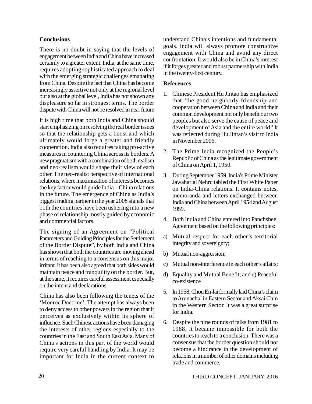### **Conclusions**

There is no doubt in saying that the levels of engagement between India and China have increased certainly to a greater extent. India, at the same time, requires adopting sophisticated approach to deal with the emerging strategic challenges emanating from China. Despite the fact that China has become increasingly assertive not only at the regional level but also at the global level, India has not shown any displeasure so far in strongest terms. The border dispute with China will not be resolved in near future

It is high time that both India and China should start emphasizing on resolving the real border issues so that the relationship gets a boost and which ultimately would forge a greater and friendly cooperation. India also requires taking pro-active measures in countering China across its borders. A new pragmatism with a combination of both realism and neo-realism would shape their view of each other. The neo-realist perspective of international relations, where maximization of interests becomes the key factor would guide India – China relations in the future. The emergence of China as India's biggest trading partner in the year 2008 signals that both the countries have been ushering into a new phase of relationship mostly guided by economic and commercial factors.

The signing of an Agreement on "Political Parameters and Guiding Principles for the Settlement of the Border Dispute", by both India and China has shown that both the countries are moving ahead in terms of reaching to a consensus on this major irritant. It has been also agreed that both sides would maintain peace and tranquility on the border. But, at the same, it requires careful assessment especially on the intent and declarations.

China has also been following the tenets of the 'Monroe Doctrine'. The attempt has always been to deny access to other powers in the region that it perceives as exclusively within its sphere of influence. Such Chinese actions have been damaging the interests of other regions especially to the countries in the East and South East Asia. Many of China's actions in this part of the world would require very careful handling by India. It may be important for India in the current context to

understand China's intentions and fundamental goals. India will always promote constructive engagement with China and avoid any direct confrontation. It would also be in China's interest if it forges greater and robust partnership with India in the twenty-first century.

### **References**

- 1. Chinese President Hu Jintao has emphasized that 'the good neighborly friendship and cooperation between China and India and their common development not only benefit our two peoples but also serve the cause of peace and development of Asia and the entire world.' It was reflected during Hu Jintao's visit to India in November 2006.
- 2. The Prime India recognized the People's Republic of China as the legitimate government of China on April 1, 1950.
- 3. During September 1959, India's Prime Minister Jawaharlal Nehru tabled the First White Paper on India-China relations. It contains notes, memoranda and letters exchanged between India and China between April 1954 and August 1959.
- 4. Both India and China entered into Panchsheel Agreement based on the following principles:
- a) Mutual respect for each other's territorial integrity and sovereignty;
- b) Mutual non-aggression;
- c) Mutual non-interference in each other's affairs;
- d) Equality and Mutual Benefit; and e) Peaceful co-existence
- 5. In 1958, Chou En-lai formally laid China's claim to Arunachal in Eastern Sector and Aksai Chin in the Western Sector. It was a great surprise for India.
- 6. Despite the nine rounds of talks from 1981 to 1988, it became impossible for both the countries to reach to a conclusion. There was a consensus that the border question should not become a hindrance in the development of relations in a number of other domains including trade and commerce.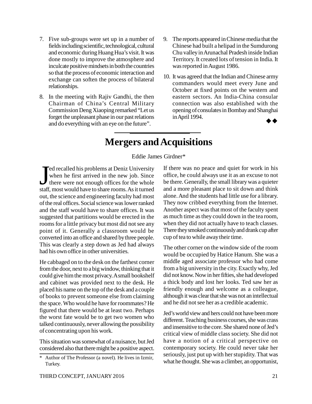- 7. Five sub-groups were set up in a number of fields including scientific, technological, cultural and economic during Huang Hua's visit. It was done mostly to improve the atmosphere and inculcate positive mindsets in both the countries so that the process of economic interaction and exchange can soften the process of bilateral relationships.
- 8. In the meeting with Rajiv Gandhi, the then Chairman of China's Central Military Commission Deng Xiaoping remarked "Let us forget the unpleasant phase in our past relations and do everything with an eye on the future".
- 9. The reports appeared in Chinese media that the Chinese had built a helipad in the Sumdurong Chu valley in Arunachal Pradesh inside Indian Territory. It created lots of tension in India. It was reported in August 1986.
- 10. It was agreed that the Indian and Chinese army commanders would meet every June and October at fixed points on the western and eastern sectors. An India-China consular connection was also established with the opening of consulates in Bombay and Shanghai in April 1994.

# **Mergers and Acquisitions**

Eddie James Girdner\*

 $\int_{\frac{1}{\text{stat}}}\frac{1}{\text{stat}}$ Ted recalled his problems at Deniz University when he first arrived in the new job. Since there were not enough offices for the whole staff, most would have to share rooms. As it turned out, the science and engineering faculty had most of the real offices. Social science was lower ranked and the staff would have to share offices. It was suggested that partitions would be erected in the rooms for a little privacy but most did not see any point of it. Generally a classroom would be converted into an office and shared by three people. This was clearly a step down as Jed had always had his own office in other universities.

He cabbaged on to the desk on the farthest corner from the door, next to a big window, thinking that it could give him the most privacy. A small bookshelf and cabinet was provided next to the desk. He placed his name on the top of the desk and a couple of books to prevent someone else from claiming the space. Who would he have for roommates? He figured that there would be at least two. Perhaps the worst fate would be to get two women who talked continuously, never allowing the possibility of concentrating upon his work.

This situation was somewhat of a nuisance, but Jed considered also that there might be a positive aspect. If there was no peace and quiet for work in his office, he could always use it as an excuse to not be there. Generally, the small library was a quieter and a more pleasant place to sit down and think alone. And the students had little use for a library. They now cribbed everything from the Internet. Another aspect was that most of the faculty spent as much time as they could down in the tea room, when they did not actually have to teach classes. There they smoked continuously and drank cup after cup of tea to while away their time.

The other corner on the window side of the room would be occupied by Hatice Hanum. She was a middle aged associate professor who had come from a big university in the city. Exactly why, Jed did not know. Now in her fifties, she had developed a thick body and lost her looks. Ted saw her as friendly enough and welcome as a colleague, although it was clear that she was not an intellectual and he did not see her as a credible academic.

Jed's world view and hers could not have been more different. Teaching business courses, she was crass and insensitive to the core. She shared none of Jed's critical view of middle class society. She did not have a notion of a critical perspective on contemporary society. He could never take her seriously, just put up with her stupidity. That was what he thought. She was a climber, an opportunist,

<sup>\*</sup> Author of The Professor (a novel). He lives in Izmir, Turkey.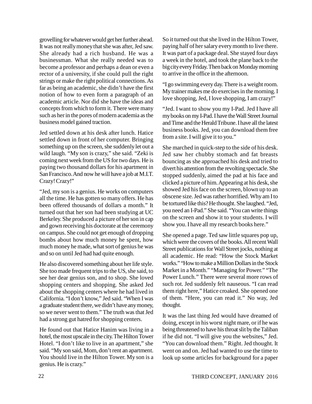grovelling for whatever would get her further ahead. It was not really money that she was after, Jed saw. She already had a rich husband. He was a businessman. What she really needed was to become a professor and perhaps a dean or even a rector of a university, if she could pull the right strings or make the right political connections. As far as being an academic, she didn't have the first notion of how to even form a paragraph of an academic article. Nor did she have the ideas and concepts from which to form it. There were many such as her in the pores of modern academia as the business model gained traction.

Jed settled down at his desk after lunch. Hatice settled down in front of her computer. Bringing something up on the screen, she suddenly let out a wild laugh. "My son is crazy," she said. "Zeki is coming next week from the US for two days. He is paying two thousand dollars for his apartment in San Francisco. And now he will have a job at M.I.T. Crazy! Crazy!"

"Jed, my son is a genius. He works on computers all the time. He has gotten so many offers. He has been offered thousands of dollars a month." It turned out that her son had been studying at UC Berkeley. She produced a picture of her son in cap and gown receiving his doctorate at the ceremony on campus. She could not get enough of dropping bombs about how much money he spent, how much money he made, what sort of genius he was and so on until Jed had had quite enough.

He also discovered something about her life style. She too made frequent trips to the US, she said, to see her dear genius son, and to shop. She loved shopping centers and shopping. She asked Jed about the shopping centers where he had lived in California. "I don't know," Jed said. "When I was a graduate student there, we didn't have any money, so we never went to them." The truth was that Jed had a strong gut hatred for shopping centers.

He found out that Hatice Hanim was living in a hotel, the most upscale in the city. The Hilton Tower Hotel. "I don't like to live in an apartment," she said. "My son said, Mom, don't rent an apartment. You should live in the Hilton Tower. My son is a genius. He is crazy."

So it turned out that she lived in the Hilton Tower, paying half of her salary every month to live there. It was part of a package deal. She stayed four days a week in the hotel, and took the plane back to the big city every Friday. Then back on Monday morning to arrive in the office in the afternoon.

"I go swimming every day. There is a weight room. My trainer makes me do exercises in the morning. I love shopping, Jed, I love shopping, I am crazy!"

"Jed. I want to show you my I-Pad. Jed I have all my books on my I-Pad. I have the Wall Street Journal and Time and the Herald Tribune. I have all the latest business books. Jed, you can download them free from a site. I will give it to you."

She marched in quick-step to the side of his desk. Jed saw her chubby stomach and fat breasts bouncing as she approached his desk and tried to divert his attention from the revolting spectacle. She stopped suddenly, aimed the pad at his face and clicked a picture of him. Appearing at his desk, she showed Jed his face on the screen, blown up to an obscene size. Jed was rather horrified. Why am I to be tortured like this? He thought. She laughed. "Jed, you need an I-Pad." She said. "You can write things on the screen and show it to your students. I will show you. I have all my research books here."

She opened a page. Ted saw little squares pop up, which were the covers of the books. All recent Wall Street publications for Wall Street jocks, nothing at all academic. He read: "How the Stock Market works." "How to make a Million Dollars in the Stock Market in a Month." "Managing for Power." "The Power Lunch." There were several more rows of such rot. Jed suddenly felt nauseous. "I can read them right here," Hatice croaked. She opened one of them. "Here, you can read it." No way, Jed thought.

It was the last thing Jed would have dreamed of doing, except in his worst night mare, or if he was being threatened to have his throat slit by the Taliban if he did not. "I will give you the websites," Jed. "You can download them." Right. Jed thought. It went on and on. Jed had wanted to use the time to look up some articles for background for a paper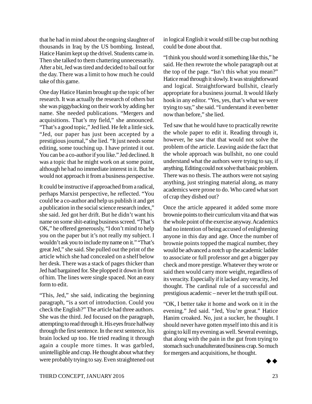that he had in mind about the ongoing slaughter of thousands in Iraq by the US bombing. Instead, Hatice Hanim kept up the drivel. Students came in. Then she talked to them chattering unnecessarily. After a bit, Jed was tired and decided to bail out for the day. There was a limit to how much he could take of this game.

One day Hatice Hanim brought up the topic of her research. It was actually the research of others but she was piggybacking on their work by adding her name. She needed publications. "Mergers and acquisitions. That's my field," she announced. "That's a good topic," Jed lied. He felt a little sick. "Jed, our paper has just been accepted by a prestigious journal," she lied. "It just needs some editing, some touching up. I have printed it out. You can be a co-author if you like." Jed declined. It was a topic that he might work on at some point, although he had no immediate interest in it. But he would not approach it from a business perspective.

It could be instructive if approached from a radical, perhaps Marxist perspective, he reflected. "You could be a co-author and help us publish it and get a publication in the social science research index," she said. Jed got her drift. But he didn't want his name on some shit-eating business screed. "That's OK," he offered generously, "I don't mind to help you on the paper but it's not really my subject. I wouldn't ask you to include my name on it." "That's great Jed," she said. She pulled out the print of the article which she had concealed on a shelf below her desk. There was a stack of pages thicker than Jed had bargained for. She plopped it down in front of him. The lines were single spaced. Not an easy form to edit.

"This, Jed," she said, indicating the beginning paragraph, "is a sort of introduction. Could you check the English?" The article had three authors. She was the third. Jed focused on the paragraph, attempting to read through it. His eyes froze halfway through the first sentence. In the next sentence, his brain locked up too. He tried reading it through again a couple more times. It was garbled, unintelligible and crap. He thought about what they were probably trying to say. Even straightened out in logical English it would still be crap but nothing could be done about that.

"I think you should word it something like this," he said. He then rewrote the whole paragraph out at the top of the page. "Isn't this what you mean?" Hatice read through it slowly. It was straightforward and logical. Straightforward bullshit, clearly appropriate for a business journal. It would likely hook in any editor. "Yes, yes, that's what we were trying to say," she said. "I understand it even better now than before," she lied.

Ted saw that he would have to practically rewrite the whole paper to edit it. Reading through it, however, he saw that that would not solve the problem of the article. Leaving aside the fact that the whole approach was bullshit, no one could understand what the authors were trying to say, if anything. Editing could not solve that basic problem. There was no thesis. The authors were not saying anything, just stringing material along, as many academics were prone to do. Who cared what sort of crap they dished out?

Once the article appeared it added some more brownie points to their curriculum vita and that was the whole point of the exercise anyway. Academics had no intention of being accused of enlightening anyone in this day and age. Once the number of brownie points topped the magical number, they would be advanced a notch up the academic ladder to associate or full professor and get a bigger pay check and more prestige. Whatever they wrote or said then would carry more weight, regardless of its veracity. Especially if it lacked any veracity, Jed thought. The cardinal rule of a successful and prestigious academic – never let the truth spill out.

"OK, I better take it home and work on it in the evening." Jed said. "Jed, You're great." Hatice Hanim croaked. No, just a sucker, he thought. I should never have gotten myself into this and it is going to kill my evening as well. Several evenings, that along with the pain in the gut from trying to stomach such unadulterated business crap. So much for mergers and acquisitions, he thought.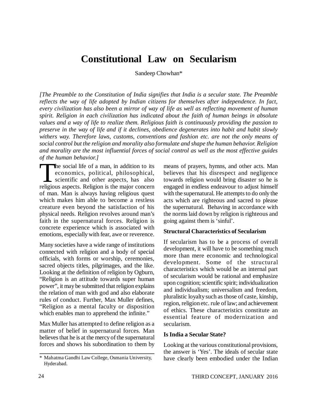# **Constitutional Law on Secularism**

Sandeep Chowhan\*

*[The Preamble to the Constitution of India signifies that India is a secular state. The Preamble reflects the way of life adopted by Indian citizens for themselves after independence. In fact, every civilization has also been a mirror of way of life as well as reflecting movement of human spirit. Religion in each civilization has indicated about the faith of human beings in absolute values and a way of life to realize them. Religious faith is continuously providing the passion to preserve in the way of life and if it declines, obedience degenerates into habit and habit slowly withers way. Therefore laws, customs, conventions and fashion etc. are not the only means of social control but the religion and morality also formulate and shape the human behavior. Religion and morality are the most influential forces of social control as well as the most effective guides of the human behavior.]*

The social life of a man, in addition to its<br>economics, political, philosophical,<br>scientific and other aspects, has also<br>religious aspects. Religion is the major concern he social life of a man, in addition to its economics, political, philosophical, scientific and other aspects, has also of man. Man is always having religious quest which makes him able to become a restless creature even beyond the satisfaction of his physical needs. Religion revolves around man's faith in the supernatural forces. Religion is concrete experience which is associated with emotions, especially with fear, awe or reverence.

Many societies have a wide range of institutions connected with religion and a body of special officials, with forms or worship, ceremonies, sacred objects titles, pilgrimages, and the like. Looking at the definition of religion by Ogburn, "Religion is an attitude towards super human power", it may be submitted that religion explains the relation of man with god and also elaborate rules of conduct. Further, Max Muller defines, "Religion as a mental faculty or disposition which enables man to apprehend the infinite."

Max Muller has attempted to define religion as a matter of belief in supernatural forces. Man believes that he is at the mercy of the supernatural forces and shows his subordination to them by means of prayers, hymns, and other acts. Man believes that his disrespect and negligence towards religion would bring disaster so he is engaged in endless endeavour to adjust himself with the supernatural. He attempts to do only the acts which are righteous and sacred to please the supernatural. Behaving in accordance with the norms laid down by religion is righteous and going against them is 'sinful'.

#### **Structural Characteristics of Secularism**

If secularism has to be a process of overall development, it will have to be something much more than mere economic and technological development. Some of the structural characteristics which would be an internal part of secularism would be rational and emphasize upon cognition; scientific spirit; individualization and individualism; universalism and freedom, pluralistic loyalty such as those of caste, kinship, region, religion etc. rule of law; and achievement of ethics. These characteristics constitute an essential feature of modernization and secularism.

#### **Is India a Secular State?**

Looking at the various constitutional provisions, the answer is 'Yes'. The ideals of secular state have clearly been embodied under the Indian

<sup>\*</sup> Mahatma Gandhi Law College, Osmania University, Hyderabad.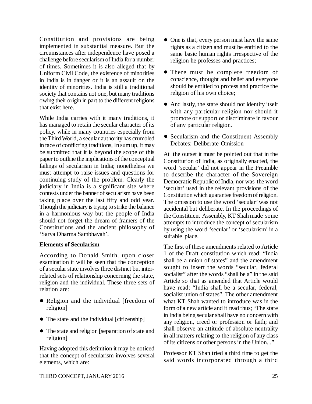Constitution and provisions are being implemented in substantial measure. But the circumstances after independence have posed a challenge before secularism of India for a number of times. Sometimes it is also alleged that by Uniform Civil Code, the existence of minorities in India is in danger or it is an assault on the identity of minorities. India is still a traditional society that contains not one, but many traditions owing their origin in part to the different religions that exist here.

While India carries with it many traditions, it has managed to retain the secular character of its policy, while in many countries especially from the Third World, a secular authority has crumbled in face of conflicting traditions, In sum up, it may be submitted that it is beyond the scope of this paper to outline the implications of the conceptual failings of secularism in India; nonetheless we must attempt to raise issues and questions for continuing study of the problem. Clearly the judiciary in India is a significant site where contests under the banner of secularism have been taking place over the last fifty and odd year. Though the judiciary is trying to strike the balance in a harmonious way but the people of India should not forget the dream of framers of the Constitutions and the ancient philosophy of 'Sarva Dharma Sambhavah'.

### **Elements of Secularism**

According to Donald Smith, upon closer examination it will be seen that the conception of a secular state involves three distinct but interrelated sets of relationship concerning the state, religion and the individual. These three sets of relation are:

- Religion and the individual [freedom of religion]
- The state and the individual [citizenship]
- The state and religion [separation of state and religion]

Having adopted this definition it may be noticed that the concept of secularism involves several elements, which are:

- One is that, every person must have the same rights as a citizen and must be entitled to the same basic human rights irrespective of the religion he professes and practices;
- There must be complete freedom of conscience, thought and belief and everyone should be entitled to profess and practice the religion of his own choice;
- And lastly, the state should not identify itself with any particular religion nor should it promote or support or discriminate in favour of any particular religion.
- Secularism and the Constituent Assembly Debates: Deliberate Omission

At the outset it must be pointed out that in the Constitution of India, as originally enacted, the word 'secular' did not appear in the Preamble to describe the character of the Sovereign Democratic Republic of India, nor was the word 'secular' used in the relevant provisions of the Constitution which guarantee freedom of religion. The omission to use the word 'secular' was not accidental but deliberate. In the proceedings of the Constituent Assembly, KT Shah made some attempts to introduce the concept of secularism by using the word 'secular' or 'secularism' in a suitable place.

The first of these amendments related to Article 1 of the Draft constitution which read: "India shall be a union of states" and the amendment sought to insert the words "secular, federal socialist" after the words "shall be a" in the said Article so that as amended that Article would have read: "India shall be a secular, federal, socialist union of states". The other amendment what KT Shah wanted to introduce was in the form of a new article and it read thus; "The state in India being secular shall have no concern with any religion, creed or profession or faith; and shall observe an attitude of absolute neutrality in all matters relating to the religion of any class of its citizens or other persons in the Union..."

Professor KT Shan tried a third time to get the said words incorporated through a third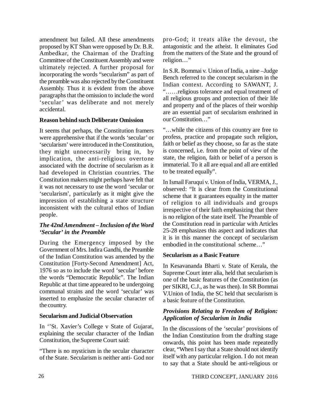amendment but failed. All these amendments proposed by KT Shan were opposed by Dr. B.R. Ambedkar, the Chairman of the Drafting Committee of the Constituent Assembly and were ultimately rejected. A further proposal for incorporating the words "secularism" as part of the preamble was also rejected by the Constituent Assembly. Thus it is evident from the above paragraphs that the omission to include the word 'secular' was deliberate and not merely accidental.

### **Reason behind such Deliberate Omission**

It seems that perhaps, the Constitution framers were apprehensive that if the words 'secular' or 'secularism' were introduced in the Constitution, they might unnecessarily bring in, by implication, the anti-religious overtone associated with the doctrine of secularism as it had developed in Christian countries. The Constitution makers might perhaps have felt that it was not necessary to use the word 'secular or 'secularism', particularly as it might give the impression of establishing a state structure inconsistent with the cultural ethos of Indian people.

### *The 42nd Amendment – Inclusion of the Word 'Secular' in the Preamble*

During the Emergency imposed by the Government of Mrs. Indira Gandhi, the Preamble of the Indian Constitution was amended by the Constitution [Forty-Second Amendment] Act, 1976 so as to include the word 'secular' before the words "Democratic Republic". The Indian Republic at that time appeared to be undergoing communal strains and the word 'secular' was inserted to emphasize the secular character of the country.

### **Secularism and Judicial Observation**

In ''St. Xavier's College v State of Gujarat, explaining the secular character of the Indian Constitution, the Supreme Court said:

"There is no mysticism in the secular character of the State. Secularism is neither anti- God nor

pro-God; it treats alike the devout, the antagonistic and the atheist. It eliminates God from the matters of the State and the ground of religion…"

In S.R. Bommai v. Union of India, a nine –Judge Bench referred to the concept secularism in the Indian context. According to SAWANT, J. "……religious tolerance and equal treatment of all religious groups and protection of their life and property and of the places of their worship are an essential part of secularism enshrined in our Constitution…"

"…while the citizens of this country are free to profess, practice and propagate such religion, faith or belief as they choose, so far as the state is concerned, i.e. from the point of view of the state, the religion, faith or belief of a person is immaterial. To it all are equal and all are entitled to be treated equally".

In Ismail Faruqui v. Union of India, VERMA, J., observed: "It is clear from the Constitutional scheme that it guarantees equality in the matter of religion to all individuals and groups irrespective of their faith emphasizing that there is no religion of the state itself. The Preamble of the Constitution read in particular with Articles 25-28 emphasizes this aspect and indicates that it is in this manner the concept of secularism embodied in the constitutional scheme…"

### **Secularism as a Basic Feature**

In Kesavananda Bharti v. State of Kerala, the Supreme Court inter alia, held that secularism is one of the basic features of the Constitution (as per SIKRI, C.J., as he was then). In SR Bommai V.Union of India, the SC held that secularism is a basic feature of the Constitution.

### *Provisions Relating to Freedom of Religion: Application of Secularism in India*

In the discussions of the 'secular' provisions of the Indian Constitution from the drafting stage onwards, this point has been made repeatedly clear, "When I say that a State should not identify itself with any particular religion. I do not mean to say that a State should be anti-religious or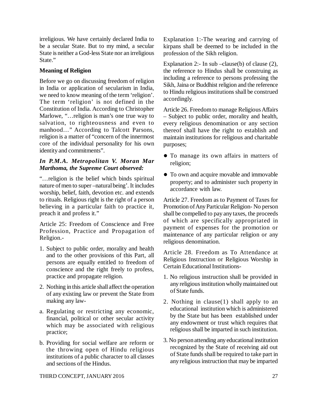irreligious. We have certainly declared India to be a secular State. But to my mind, a secular State is neither a God-less State nor an irreligious State."

# **Meaning of Religion**

Before we go on discussing freedom of religion in India or application of secularism in India, we need to know meaning of the term 'religion'. The term 'religion' is not defined in the Constitution of India. According to Christopher Marlowe, "…religion is man's one true way to salvation, to righteousness and even to manhood…" According to Talcott Parsons, religion is a matter of "concern of the innermost core of the individual personality for his own identity and commitments".

### *In P.M.A. Metropolitan V. Moran Mar Marthoma, the Supreme Court observed:*

"…religion is the belief which binds spiritual nature of men to super –natural being'. It includes worship, belief, faith, devotion etc. and extends to rituals. Religious right is the right of a person believing in a particular faith to practice it, preach it and profess it."

Article 25: Freedom of Conscience and Free Profession, Practice and Propagation of Religion.-

- 1. Subject to public order, morality and health and to the other provisions of this Part, all persons are equally entitled to freedom of conscience and the right freely to profess, practice and propagate religion.
- 2. Nothing in this article shall affect the operation of any existing law or prevent the State from making any law-
- a. Regulating or restricting any economic, financial, political or other secular activity which may be associated with religious practice;
- b. Providing for social welfare are reform or the throwing open of Hindu religious institutions of a public character to all classes and sections of the Hindus.

Explanation 1:-The wearing and carrying of kirpans shall be deemed to be included in the profession of the Sikh religion.

Explanation 2:- In sub –clause(b) of clause (2), the reference to Hindus shall be construing as including a reference to persons professing the Sikh, Jaina or Buddhist religion and the reference to Hindu religious institutions shall be construed accordingly.

Article 26. Freedom to manage Religious Affairs – Subject to public order, morality and health, every religious denomination or any section thereof shall have the right to establish and maintain institutions for religious and charitable purposes;

- To manage its own affairs in matters of religion;
- To own and acquire movable and immovable property; and to administer such property in accordance with law.

Article 27. Freedom as to Payment of Taxes for Promotion of Any Particular Religion- No person shall be compelled to pay any taxes, the proceeds of which are specifically appropriated in payment of expenses for the promotion or maintenance of any particular religion or any religious denomination.

Article 28. Freedom as To Attendance at Religious Instruction or Religious Worship in Certain Educational Institutions-

- 1. No religious instruction shall be provided in any religious institution wholly maintained out of State funds.
- 2. Nothing in clause(1) shall apply to an educational institution which is administered by the State but has been established under any endowment or trust which requires that religious shall be imparted in such institution.
- 3. No person attending any educational institution recognized by the State of receiving aid out of State funds shall be required to take part in any religious instruction that may be imparted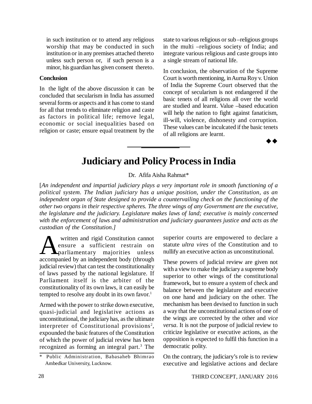in such institution or to attend any religious worship that may be conducted in such institution or in any premises attached thereto unless such person or, if such person is a minor, his guardian has given consent thereto.

#### **Conclusion**

In the light of the above discussion it can be concluded that secularism in India has assumed several forms or aspects and it has come to stand for all that trends to eliminate religion and caste as factors in political life; remove legal, economic or social inequalities based on religion or caste; ensure equal treatment by the state to various religious or sub –religious groups in the multi –religious society of India; and integrate various religious and caste groups into a single stream of national life.

In conclusion, the observation of the Supreme Court is worth mentioning, in Aurna Roy v. Union of India the Supreme Court observed that the concept of secularism is not endangered if the basic tenets of all religions all over the world are studied and learnt. Value –based education will help the nation to fight against fanaticism, ill-will, violence, dishonesty and corruption. These values can be inculcated if the basic tenets of all religions are learnt.

 $\rightarrow \rightarrow$ 

# **Judiciary and Policy Process in India**

# Dr. Afifa Aisha Rahmat\*

[*An independent and impartial judiciary plays a very important role in smooth functioning of a political system. The Indian judiciary has a unique position, under the Constitution, as an independent organ of State designed to provide a countervailing check on the functioning of the other two organs in their respective spheres. The three wings of any Government are the executive, the legislature and the judiciary. Legislature makes laws of land; executive is mainly concerned with the enforcement of laws and administration and judiciary guarantees justice and acts as the custodian of the Constitution.]*

Written and rigid Constitution cannot<br>
ensure a sufficient restrain on<br>
accompanied by an independent body (through written and rigid Constitution cannot ensure a sufficient restrain on parliamentary majorities unless judicial review) that can test the constitutionality of laws passed by the national legislature. If Parliament itself is the arbiter of the constitutionality of its own laws, it can easily be tempted to resolve any doubt in its own favor.<sup>1</sup>

Armed with the power to strike down executive, quasi-judicial and legislative actions as unconstitutional, the judiciary has, as the ultimate interpreter of Constitutional provisions<sup>2</sup>, expounded the basic features of the Constitution of which the power of judicial review has been recognized as forming an integral part.<sup>3</sup> The

superior courts are empowered to declare a statute *ultra vires* of the Constitution and to nullify an executive action as unconstitutional.

These powers of judicial review are given not with a view to make the judiciary a supreme body superior to other wings of the constitutional framework, but to ensure a system of check and balance between the legislature and executive on one hand and judiciary on the other. The mechanism has been devised to function in such a way that the unconstitutional actions of one of the wings are corrected by the other and *vice versa*. It is not the purpose of judicial review to criticize legislative or executive actions, as the opposition is expected to fulfil this function in a democratic polity.

On the contrary, the judiciary's role is to review executive and legislative actions and declare

Public Administration, Babasaheb Bhimrao Ambedkar University, Lucknow.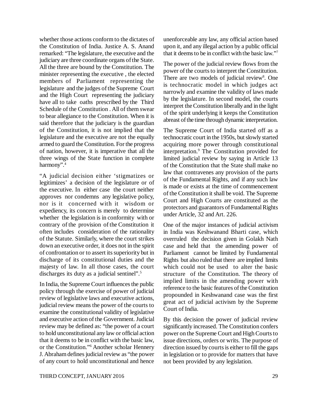whether those actions conform to the dictates of the Constitution of India. Justice A. S. Anand remarked: "The legislature, the executive and the judiciary are three coordinate organs of the State. All the three are bound by the Constitution. The minister representing the executive , the elected members of Parliament representing the legislature and the judges of the Supreme Court and the High Court representing the judiciary have all to take oaths prescribed by the Third Schedule of the Constitution . All of them swear to bear allegiance to the Constitution. When it is said therefore that the judiciary is the guardian of the Constitution, it is not implied that the legislature and the executive are not the equally armed to guard the Constitution. For the progress of nation, however, it is imperative that all the three wings of the State function in complete harmony".<sup>4</sup>

"A judicial decision either 'stigmatizes or legitimizes' a decision of the legislature or of the executive. In either case the court neither approves nor condemns any legislative policy, nor is it concerned with it wisdom or expediency, its concern is merely to determine whether the legislation is in conformity with or contrary of the provision of the Constitution it often includes consideration of the rationality of the Statute. Similarly, where the court strikes down an executive order, it does not in the spirit of confrontation or to assert its superiority but in discharge of its constitutional duties and the majesty of law. In all those cases, the court discharges its duty as a judicial sentinel".<sup>5</sup>

In India, the Supreme Court influences the public policy through the exercise of power of judicial review of legislative laws and executive actions, judicial review means the power of the courts to examine the constitutional validity of legislative and executive action of the Government. Judicial review may be defined as: "the power of a court to hold unconstitutional any law or official action that it deems to be in conflict with the basic law, or the Constitution."<sup>6</sup> Another scholar Hennery J. Abraham defines judicial review as "the power of any court to hold unconstitutional and hence unenforceable any law, any official action based upon it, and any illegal action by a public official that it deems to be in conflict with the basic law."<sup>7</sup>

The power of the judicial review flows from the power of the courts to interpret the Constitution. There are two models of judicial review<sup>8</sup>. One is technocratic model in which judges act narrowly and examine the validity of laws made by the legislature. In second model, the courts interpret the Constitution liberally and in the light of the spirit underlying it keeps the Constitution abreast of the time through dynamic interpretation.

The Supreme Court of India started off as a technocratic court in the 1950s, but slowly started acquiring more power through constitutional interpretation.<sup>9</sup> The Constitution provided for limited judicial review by saying in Article 13 of the Constitution that the State shall make no law that contravenes any provision of the parts of the Fundamental Rights, and if any such law is made or exists at the time of commencement of the Constitution it shall be void. The Supreme Court and High Courts are constituted as the protectors and guarantors of Fundamental Rights under Article, 32 and Art. 226.

One of the major instances of judicial activism in India was Keshwanand Bharti case, which overruled the decision given in Golakh Nath case and held that the amending power of Parliament cannot be limited by Fundamental Rights but also ruled that there are implied limits which could not be used to alter the basic structure of the Constitution. The theory of implied limits in the amending power with reference to the basic features of the Constitution propounded in Keshwanand case was the first great act of judicial activism by the Supreme Court of India.

By this decision the power of judicial review significantly increased. The Constitution confers power on the Supreme Court and High Courts to issue directions, orders or writs. The purpose of direction issued by courts is either to fill the gaps in legislation or to provide for matters that have not been provided by any legislation.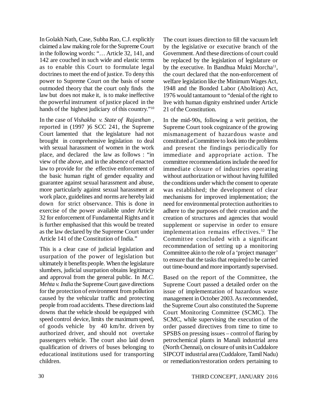In Golakh Nath, Case, Subba Rao, C.J. explicitly claimed a law making role for the Supreme Court in the following words: "… Article 32, 141, and 142 are couched in such wide and elastic terms as to enable this Court to formulate legal doctrines to meet the end of justice. To deny this power to Supreme Court on the basis of some outmoded theory that the court only finds the law but does not make it, is to make ineffective the powerful instrument of justice placed in the hands of the highest judiciary of this country."<sup>10</sup>

In the case of *Vishakha v. State of Rajasthan* , reported in (1997 )6 SCC 241, the Supreme Court lamented that the legislature had not brought in comprehensive legislation to deal with sexual harassment of women in the work place, and declared the law as follows : "in view of the above, and in the absence of enacted law to provide for the effective enforcement of the basic human right of gender equality and guarantee against sexual harassment and abuse, more particularly against sexual harassment at work place, guidelines and norms are hereby laid down for strict observance. This is done in exercise of the power available under Article 32 for enforcement of Fundamental Rights and it is further emphasised that this would be treated as the law declared by the Supreme Court under Article 141 of the Constitution of India."

This is a clear case of judicial legislation and usurpation of the power of legislation but ultimately it benefits people. When the legislature slumbers, judicial usurpation obtains legitimacy and approval from the general public. In *M.C. Mehta v. India* the Supreme Court gave directions for the protection of environment from pollution caused by the vehicular traffic and protecting people from road accidents. These directions laid downs that the vehicle should be equipped with speed control device, limits the maximum speed, of goods vehicle by 40 km/hr. driven by authorized driver, and should not overtake passengers vehicle. The court also laid down qualification of drivers of buses belonging to educational institutions used for transporting children.

The court issues direction to fill the vacuum left by the legislative or executive branch of the Government. And these directions of court could be replaced by the legislation of legislature or by the executive. In Bandhua Mukti Morcha<sup>11</sup>, the court declared that the non-enforcement of welfare legislation like the Minimum Wages Act, 1948 and the Bonded Labor (Abolition) Act, 1976 would tantamount to "denial of the right to live with human dignity enshrined under Article 21 of the Constitution.

In the mid-90s, following a writ petition, the Supreme Court took cognizance of the growing mismanagement of hazardous waste and constituted a Committee to look into the problems and present the findings periodically for immediate and appropriate action. The committee recommendations include the need for immediate closure of industries operating without authorization or without having fulfilled the conditions under which the consent to operate was established; the development of clear mechanisms for improved implementation; the need for environmental protection authorities to adhere to the purposes of their creation and the creation of structures and agencies that would supplement or supervise in order to ensure implementation remains effectives. <sup>12</sup> The Committee concluded with a significant recommendation of setting up a monitoring Committee akin to the role of a 'project manager' to ensure that the tasks that required to be carried out time-bound and more importantly supervised.

Based on the report of the Committee, the Supreme Court passed a detailed order on the issue of implementation of hazardous waste management in October 2003. As recommended, the Supreme Court also constituted the Supreme Court Monitoring Committee (SCMC). The SCMC, while supervising the execution of the order passed directives from time to time to SPSBS on pressing issues – control of flaring by petrochemical plants in Manali industrial area (North Chennai), on closure of units in Cuddalore SIPCOT industrial area (Cuddalore, Tamil Nadu) or remediation/restoration orders pertaining to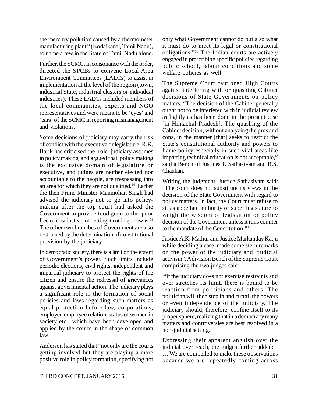the mercury pollution caused by a thermometer manufacturing plant<sup>13</sup> (Kodaikanal, Tamil Nadu), to name a few in the State of Tamil Nadu alone.

Further, the SCMC, in consonance with the order, directed the SPCBs to convene Local Area Environment Committees (LAECs) to assist in implementation at the level of the region (town, industrial State, industrial clusters or individual industries). These LAECs included members of the local communities, experts and NGO representatives and were meant to be 'eyes' and 'ears' of the SCMC in reporting mismanagement and violations.

Some decisions of judiciary may carry the risk of conflict with the executive or legislature. R.K. Barik has criticised the role judiciary assumes in policy making and argued that policy making is the exclusive domain of legislature or executive, and judges are neither elected nor accountable to the people, are trespassing into an area for which they are not qualified.<sup>14</sup> Earlier the then Prime Minister Manmohan Singh had advised the judiciary not to go into policymaking after the top court had asked the Government to provide food grain to the poor free of cost instead of letting it rot in godowns.<sup>15</sup> The other two branches of Government are also restrained by the determination of constitutional provision by the judiciary.

In democratic society, there is a limit on the extent of Government's power. Such limits include periodic elections, civil rights, independent and impartial judiciary to protect the rights of the citizen and ensure the redressal of grievances against governmental action. The judiciary plays a significant role in the formation of social policies and laws regarding such matters as equal protection before law, corporations, employer-employee relation, status of women in society etc., which have been developed and applied by the courts in the shape of common law.

Anderson has stated that "not only are the courts getting involved but they are playing a more positive role in policy formation, specifying not only what Government cannot do but also what it must do to meet its legal or constitutional obligations."<sup>16</sup> The Indian courts are actively engaged in prescribing specific policies regarding public school, labour conditions and some welfare policies as well.

The Supreme Court cautioned High Courts against interfering with or quashing Cabinet decisions of State Governments on policy matters. "The decision of the Cabinet generally ought not to be interfered with in judicial review as lightly as has been done in the present case [in Himachal Pradesh]. The quashing of the Cabinet decision, without analyzing the pros and cons, in the manner [that] seeks to restrict the State's constitutional authority and powers to frame policy especially in such vital areas like imparting technical education is not acceptable," said a Bench of Justices P. Sathasivam and B.S. Chauhan.

Writing the judgment, Justice Sathasivam said: "The court does not substitute its views in the decision of the State Government with regard to policy matters. In fact, the Court must refuse to sit as appellate authority or super legislature to weigh the wisdom of legislation or policy decision of the Government unless it runs counter to the mandate of the Constitution."<sup>17</sup>

Justice A.K. Mathur and Justice Markanday Katju while deciding a case, made some stern remarks on the power of the judiciary and "judicial activism". A division Bench of the Supreme Court comprising the two judges said:

 "If the judiciary does not exercise restraints and over stretches its limit, there is bound to be reaction from politicians and others. The politician will then step in and curtail the powers or even independence of the judiciary. The judiciary should, therefore, confine itself to its proper sphere, realizing that in a democracy many matters and controversies are best resolved in a non-judicial setting.

Expressing their apparent anguish over the judicial over reach, the judges further added: " … We are compelled to make these observations because we are repeatedly coming across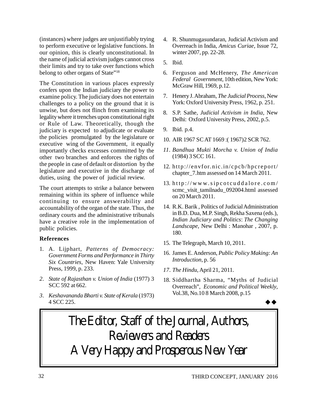(instances) where judges are unjustifiably trying to perform executive or legislative functions. In our opinion, this is clearly unconstitutional. In the name of judicial activism judges cannot cross their limits and try to take over functions which belong to other organs of State"<sup>18</sup>

The Constitution in various places expressly confers upon the Indian judiciary the power to examine policy. The judiciary does not entertain challenges to a policy on the ground that it is unwise, but does not flinch from examining its legality where it trenches upon constitutional right or Rule of Law. Theoretically, though the judiciary is expected to adjudicate or evaluate the policies promulgated by the legislature or executive wing of the Government, it equally importantly checks excesses committed by the other two branches and enforces the rights of the people in case of default or distortion by the legislature and executive in the discharge of duties, using the power of judicial review.

The court attempts to strike a balance between remaining within its sphere of influence while continuing to ensure answerability and accountability of the organ of the state. Thus, the ordinary courts and the administrative tribunals have a creative role in the implementation of public policies.

### **References**

- 1. A. Lijphart, *Patterns of Democracy: Government Forms and Performance in Thirty Six Countries*, New Haven: Yale University Press, 1999, p. 233.
- *2. State of Rajasthan v. Union of India* (1977) 3 SCC 592 at 662.
- *3. Keshavananda Bharti v. State of Kerala* (1973) 4 SCC 225.
- 4. R. Shunmugasundaran, Judicial Activism and Overreach in India, *Amicus Curiae*, Issue 72, winter 2007, pp. 22-28.
- 5. Ibid.
- 6. Ferguson and McHenery, *The American Federal Government*, 10th edition, New York: McGraw Hill, 1969, p.12.
- 7. Henery J. Abraham, *The Judicial Process*, New York: Oxford University Press, 1962, p. 251.
- 8. S.P. Sathe, *Judicial Activism in India*, New Delhi: Oxford University Press, 2002, p.5.
- 9. Ibid. p.4.
- 10. AIR 1967 SC AT 1669 :( 1967)2 SCR 762.
- *11. Bandhua Mukti Morcha v. Union of India* (1984) 3 SCC 161.
- 12. http://envfor.nic.in/cpcb/hpcreport/ chapter\_7.htm assessed on 14 March 2011.
- 13. http://www.sipcotcuddalore.com/ scmc\_visit\_tamilnadu\_092004.html assessed on 20 March 2011.
- 14. R.K. Barik , Politics of Judicial Administration in B.D. Dua, M.P. Singh, Rekha Saxena (eds.), *Indian Judiciary and Politics*: *The Changing Landscape*, New Delhi : Manohar , 2007, p. 180.
- 15. The Telegraph, March 10, 2011.
- 16. James E. Anderson, *Public Policy Making: An Introduction*, p. 56
- *17. The Hindu*, April 21, 2011.
- 18. Siddhartha Sharma, "Myths of Judicial Overreach", *Economic and Political Weekly*, Vol.38, No.10 8 March 2008, p.15

44 A

# *The Editor, Staff of the Journal, Authors, Reviewers and Readers A Very Happy and Prosperous New Year*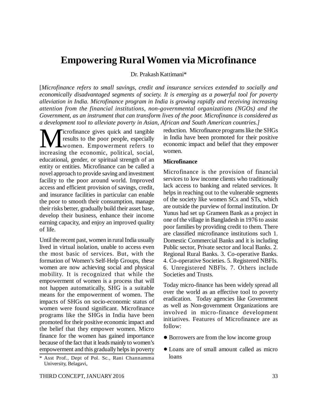# **Empowering Rural Women via Microfinance**

Dr. Prakash Kattimani\*

[*Microfinance refers to small savings, credit and insurance services extended to socially and economically disadvantaged segments of society. It is emerging as a powerful tool for poverty alleviation in India. Microfinance program in India is growing rapidly and receiving increasing attention from the financial institutions, non-governmental organizations (NGOs) and the Government, as an instrument that can transform lives of the poor. Microfinance is considered as a development tool to alleviate poverty in Asian, African and South American countries.]*

**M** icrofinance gives quick and tangible<br>results to the poor people, especially<br>increasing the economic, political, social, icrofinance gives quick and tangible results to the poor people, especially women. Empowerment refers to educational, gender, or spiritual strength of an entity or entities. Microfinance can be called a novel approach to provide saving and investment facility to the poor around world. Improved access and efficient provision of savings, credit, and insurance facilities in particular can enable the poor to smooth their consumption, manage their risks better, gradually build their asset base, develop their business, enhance their income earning capacity, and enjoy an improved quality of life.

Until the recent past, women in rural India usually lived in virtual isolation, unable to access even the most basic of services. But, with the formation of Women's Self-Help Groups, these women are now achieving social and physical mobility. It is recognized that while the empowerment of women is a process that will not happen automatically, SHG is a suitable means for the empowerment of women. The impacts of SHGs on socio-economic status of women were found significant. Microfinance programs like the SHGs in India have been promoted for their positive economic impact and the belief that they empower women. Micro finance for the women has gained importance because of the fact that it leads mainly to women's empowerment and this gradually helps in poverty

reduction. Microfinance programs like the SHGs in India have been promoted for their positive economic impact and belief that they empower women.

#### **Microfinance**

Microfinance is the provision of financial services to low income clients who traditionally lack access to banking and related services. It helps in reaching out to the vulnerable segments of the society like women SCs and STs, which are outside the purview of formal institution. Dr Yunus had set up Grameen Bank as a project in one of the village in Bangladesh in 1976 to assist poor families by providing credit to them. There are classified microfinance institutions such 1. Domestic Commercial Banks and it is including Public sector, Private sector and local Banks. 2. Regional Rural Banks. 3. Co-operative Banks. 4. Co-operative Societies. 5. Registered NBFIs. 6. Unregistered NBFls. 7. Others include Societies and Trusts.

Today micro-finance has been widely spread all over the world as an effective tool to poverty eradication. Today agencies like Government as well as Non-government Organizations are involved in micro-finance development initiatives. Features of Microfinance are as follow:

- Borrowers are from the low income group
- Loans are of small amount called as micro loans

<sup>\*</sup> Asst Prof., Dept of Pol. Sc., Rani Channamma University, Belagavi,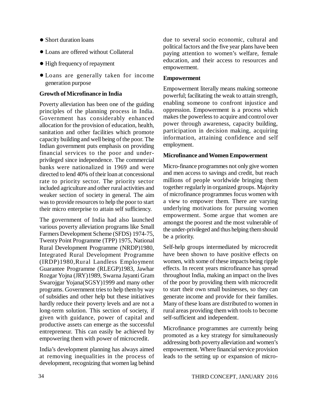- Short duration loans
- Loans are offered without Collateral
- High frequency of repayment
- Loans are generally taken for income generation purpose

### **Growth of Microfinance in India**

Poverty alleviation has been one of the guiding principles of the planning process in India. Government has considerably enhanced allocation for the provision of education, health, sanitation and other facilities which promote capacity building and well being of the poor. The Indian government puts emphasis on providing financial services to the poor and underprivileged since independence. The commercial banks were nationalized in 1969 and were directed to lend 40% of their loan at concessional rate to priority sector. The priority sector included agriculture and other rural activities and weaker section of society in general. The aim was to provide resources to help the poor to start their micro enterprise to attain self sufficiency.

The government of India had also launched various poverty alleviation programs like Small Farmers Development Scheme (SFDS) 1974-75, Twenty Point Programme (TPP) 1975, National Rural Development Programme (NRDP)1980, Integrated Rural Development Programme (IRDP)1980,Rural Landless Employment Guarantee Programme (RLEGP)1983, Jawhar Rozgar Yojna (JRY)1989, Swarna Jayanti Gram Swarojgar Yojana(SGSY)1999 and many other programs. Government tries to help them by way of subsidies and other help but these initiatives hardly reduce their poverty levels and are not a long-term solution. This section of society, if given with guidance, power of capital and productive assets can emerge as the successful entrepreneur. This can easily be achieved by empowering them with power of microcredit.

India's development planning has always aimed at removing inequalities in the process of development, recognizing that women lag behind due to several socio economic, cultural and political factors and the five year plans have been paying attention to women's welfare, female education, and their access to resources and empowerment.

### **Empowerment**

Empowerment literally means making someone powerful; facilitating the weak to attain strength, enabling someone to confront injustice and oppression. Empowerment is a process which makes the powerless to acquire and control over power through awareness, capacity building, participation in decision making, acquiring information, attaining confidence and self employment.

### **Microfinance and Women Empowerment**

Micro-finance programmes not only give women and men access to savings and credit, but reach millions of people worldwide bringing them together regularly in organized groups. Majority of microfinance programmes focus women with a view to empower them. There are varying underlying motivations for pursuing women empowerment. Some argue that women are amongst the poorest and the most vulnerable of the under-privileged and thus helping them should be a priority.

Self-help groups intermediated by microcredit have been shown to have positive effects on women, with some of these impacts being ripple effects. In recent years microfinance has spread throughout India, making an impact on the lives of the poor by providing them with microcredit to start their own small businesses, so they can generate income and provide for their families. Many of these loans are distributed to women in rural areas providing them with tools to become self-sufficient and independent.

Microfinance programmes are currently being promoted as a key strategy for simultaneously addressing both poverty alleviation and women's empowerment. Where financial service provision leads to the setting up or expansion of micro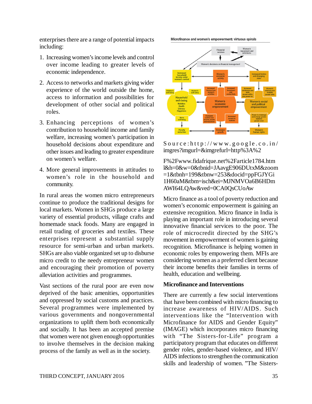enterprises there are a range of potential impacts including:

- 1. Increasing women's income levels and control over income leading to greater levels of economic independence.
- 2. Access to networks and markets giving wider experience of the world outside the home, access to information and possibilities for development of other social and political roles.
- 3. Enhancing perceptions of women's contribution to household income and family welfare, increasing women's participation in household decisions about expenditure and other issues and leading to greater expenditure on women's welfare.
- 4. More general improvements in attitudes to women's role in the household and community.

In rural areas the women micro entrepreneurs continue to produce the traditional designs for local markets. Women in SHGs produce a large variety of essential products, village crafts and homemade snack foods. Many are engaged in retail trading of groceries and textiles. These enterprises represent a substantial supply resource for semi-urban and urban markets. SHGs are also viable organized set up to disburse micro credit to the needy entrepreneur women and encouraging their promotion of poverty alleviation activities and programmes.

Vast sections of the rural poor are even now deprived of the basic amenities, opportunities and oppressed by social customs and practices. Several programmes were implemented by various governments and nongovernmental organizations to uplift them both economically and socially. It has been an accepted premise that women were not given enough opportunities to involve themselves in the decision making process of the family as well as in the society.

 $S$  ource: http://www.google.co.in/ imgres?imgurl=&imgrefurl=http%3A%2

F%2[Fwww.fidafrique.net%2Farticle1784.htm](http://www.fidafrique.net%2Farticle1784.htm) l&h=0&w=0&tbnid=JAavgE906DUtxM&zoom =1&tbnh=199&tbnw=253&docid=ppFGJYGi 1H60aM&tbm=isch&ei=MJNMVOa6B6HDm AWI64LQAw&ved=0CA0QsCUoAw

Micro finance as a tool of poverty reduction and women's economic empowerment is gaining an extensive recognition. Micro finance in India is playing an important role in introducing several innovative financial services to the poor. The role of microcredit directed by the SHG's movement in empowerment of women is gaining recognition. Microfinance is helping women in economic roles by empowering them. MFIs are considering women as a preferred client because their income benefits their families in terms of health, education and wellbeing.

# **Microfinance and Interventions**

There are currently a few social interventions that have been combined with micro financing to increase awareness of HIV/AIDS. Such interventions like the "Intervention with Microfinance for AIDS and Gender Equity" (IMAGE) which incorporates micro financing with "The Sisters-for-Life" program a participatory program that educates on different gender roles, gender-based violence, and HIV/ AIDS infections to strengthen the communication skills and leadership of women. "The Sisters-



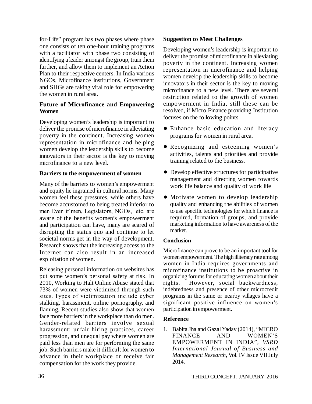for-Life" program has two phases where phase one consists of ten one-hour training programs with a facilitator with phase two consisting of identifying a leader amongst the group, train them further, and allow them to implement an Action Plan to their respective centers. In India various NGOs, Microfinance institutions, Government and SHGs are taking vital role for empowering the women in rural area.

### **Future of Microfinance and Empowering Women**

Developing women's leadership is important to deliver the promise of microfinance in alleviating poverty in the continent. Increasing women representation in microfinance and helping women develop the leadership skills to become innovators in their sector is the key to moving microfinance to a new level.

# **Barriers to the empowerment of women**

Many of the barriers to women's empowerment and equity lie ingrained in cultural norms. Many women feel these pressures, while others have become accustomed to being treated inferior to men Even if men, Legislators, NGOs, etc. are aware of the benefits women's empowerment and participation can have, many are scared of disrupting the status quo and continue to let societal norms get in the way of development. Research shows that the increasing access to the Internet can also result in an increased exploitation of women.

Releasing personal information on websites has put some women's personal safety at risk. In 2010, Working to Halt Online Abuse stated that 73% of women were victimized through such sites. Types of victimization include cyber stalking, harassment, online pornography, and flaming. Recent studies also show that women face more barriers in the workplace than do men. Gender-related barriers involve sexual harassment; unfair hiring practices, career progression, and unequal pay where women are paid less than men are for performing the same job. Such barriers make it difficult for women to advance in their workplace or receive fair compensation for the work they provide.

### **Suggestion to Meet Challenges**

Developing women's leadership is important to deliver the promise of microfinance in alleviating poverty in the continent. Increasing women representation in microfinance and helping women develop the leadership skills to become innovators in their sector is the key to moving microfinance to a new level. There are several restriction related to the growth of women empowerment in India, still these can be resolved, if Micro Finance providing Institution focuses on the following points.

- Enhance basic education and literacy programs for women in rural area.
- Recognizing and esteeming women's activities, talents and priorities and provide training related to the business.
- Develop effective structures for participative management and directing women towards work life balance and quality of work life
- Motivate women to develop leadership quality and enhancing the abilities of women to use specific technologies for which finance is required, formation of groups, and provide marketing information to have awareness of the market.

# **Conclusion**

Microfinance can prove to be an important tool for women empowerment. The high illiteracy rate among women in India requires governments and microfinance institutions to be proactive in organizing forums for educating women about their rights. However, social backwardness, indebtedness and presence of other microcredit programs in the same or nearby villages have a significant positive influence on women's participation in empowerment.

# **Reference**

1. Babita Jha and Gazal Yadav (2014), "MICRO FINANCE AND WOMEN'S EMPOWERMENT IN INDIA", *VSRD International Journal of Business and Management Research*, Vol. IV Issue VII July 2014.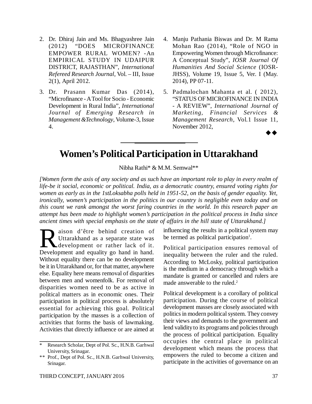- 2. Dr. Dhiraj Jain and Ms. Bhagyashree Jain (2012) "DOES MICROFINANCE EMPOWER RURAL WOMEN? -An EMPIRICAL STUDY IN UDAIPUR DISTRICT, RAJASTHAN", *International Refereed Research Journal*, Vol. – III, Issue 2(1), April 2012.
- 3. Dr. Prasann Kumar Das (2014), "Microfinance - A Tool for Socio - Economic Development in Rural India", *International Journal of Emerging Research in Management &Technology*, Volume-3, Issue 4.
- 4. Manju Pathania Biswas and Dr. M Rama Mohan Rao (2014), "Role of NGO in Empowering Women through Microfinance: A Conceptual Study", *IOSR Journal Of Humanities And Social Science* (IOSR-JHSS), Volume 19, Issue 5, Ver. I (May. 2014), PP 07-11.
- 5. Padmalochan Mahanta et al. ( 2012), "STATUS OF MICROFINANCE IN INDIA - A REVIEW", *International Journal of Marketing, Financial Services & Management Research*, Vol.1 Issue 11, November 2012,  $\rightarrow \rightarrow$

# **Women's Political Participation in Uttarakhand**

Nibha Rathi\* & M.M. Semwal\*\*

*[Women form the axis of any society and as such have an important role to play in every realm of life-be it social, economic or political. India, as a democratic country, ensured voting rights for women as early as in the 1stLoksabha polls held in 1951-52, on the basis of gender equality. Yet, ironically, women's participation in the politics in our country is negligible even today and on this count we rank amongst the worst faring countries in the world. In this research paper an attempt has been made to highlight women's participation in the political process in India since ancient times with special emphasis on the state of affairs in the hill state of Uttarakhand.]*

Red aison d'être behind creation of Uttarakhand as a separate state was development or rather lack of it.<br>Development and equality go hand in hand. aison d'être behind creation of Uttarakhand as a separate state was development or rather lack of it. Without equality there can be no development be it in Uttarakhand or, for that matter, anywhere else. Equality here means removal of disparities between men and womenfolk. For removal of disparities women need to be as active in political matters as in economic ones. Their participation in political process is absolutely essential for achieving this goal. Political participation by the masses is a collection of activities that forms the basis of lawmaking. Activities that directly influence or are aimed at

influencing the results in a political system may be termed as political participation<sup>1</sup>.

Political participation ensures removal of inequality between the ruler and the ruled. According to McLosky, political participation is the medium in a democracy through which a mandate is granted or cancelled and rulers are made answerable to the ruled.<sup>2</sup>

Political development is a corollary of political participation. During the course of political development masses are closely associated with politics in modern political system. They convey their views and demands to the government and lend validity to its programs and policies through the process of political participation. Equality occupies the central place in political development which means the process that empowers the ruled to become a citizen and participate in the activities of governance on an

<sup>\*</sup> Research Scholar, Dept of Pol. Sc., H.N.B. Garhwal University, Srinagar.

<sup>\*\*</sup> Prof., Dept of Pol. Sc., H.N.B. Garhwal University, Srinagar.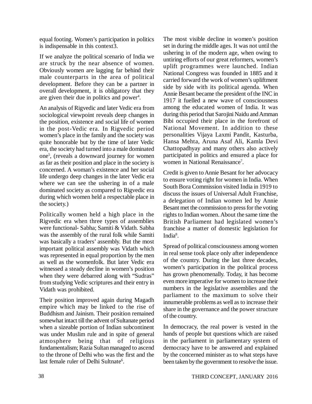equal footing. Women's participation in politics is indispensable in this context3.

If we analyze the political scenario of India we are struck by the near absence of women. Obviously women are lagging far behind their male counterparts in the area of political development. Before they can be a partner in overall development, it is obligatory that they are given their due in politics and power<sup>4</sup>.

An analysis of Rigvedic and later Vedic era from sociological viewpoint reveals deep changes in the position, existence and social life of women in the post-Vedic era. In Rigvedic period women's place in the family and the society was quite honorable but by the time of later Vedic era, the society had turned into a male dominated one<sup>5</sup> , (reveals a downward journey for women as far as their position and place in the society is concerned. A woman's existence and her social life undergo deep changes in the later Vedic era where we can see the ushering in of a male dominated society as compared to Rigvedic era during which women held a respectable place in the society.)

Politically women held a high place in the Rigvedic era when three types of assemblies were functional- Sabha; Samiti & Vidath. Sabha was the assembly of the rural folk while Samiti was basically a traders' assembly. But the most important political assembly was Vidath which was represented in equal proportion by the men as well as the womenfolk. But later Vedic era witnessed a steady decline in women's position when they were debarred along with "Sudras" from studying Vedic scriptures and their entry in Vidath was prohibited.

Their position improved again during Magadh empire which may be linked to the rise of Buddhism and Jainism. Their position remained somewhat intact till the advent of Sultanate period when a sizeable portion of Indian subcontinent was under Muslim rule and in spite of general atmosphere being that of religious fundamentalism; Razia Sultan managed to ascend to the throne of Delhi who was the first and the last female ruler of Delhi Sultnate<sup>6</sup>.

The most visible decline in women's position set in during the middle ages. It was not until the ushering in of the modern age, when owing to untiring efforts of our great reformers, women's uplift programmes were launched. Indian National Congress was founded in 1885 and it carried forward the work of women's upliftment side by side with its political agenda. When Annie Besant became the president of the INC in 1917 it fuelled a new wave of consciousness among the educated women of India. It was during this period that Sarojini Naidu and Amman Bibi occupied their place in the forefront of National Movement. In addition to these personalities Vijaya Laxmi Pandit, Kasturba, Hansa Mehta, Aruna Asaf Ali, Kamla Devi Chattopadhyay and many others also actively participated in politics and ensured a place for women in National Renaissance<sup>7</sup>.

Credit is given to Annie Besant for her advocacy to ensure voting right for women in India. When South Bora Commission visited India in 1919 to discuss the issues of Universal Adult Franchise, a delegation of Indian women led by Annie Besant met the commission to press for the voting rights to Indian women. About the same time the British Parliament had legislated women's franchise a matter of domestic legislation for India<sup>8</sup>.

Spread of political consciousness among women in real sense took place only after independence of the country. During the last three decades, women's participation in the political process has grown phenomenally. Today, it has become even more imperative for women to increase their numbers in the legislative assemblies and the parliament to the maximum to solve their innumerable problems as well as to increase their share in the governance and the power structure of the country.

In democracy, the real power is vested in the hands of people but questions which are raised in the parliament in parliamentary system of democracy have to be answered and explained by the concerned minister as to what steps have been taken by the government to resolve the issue.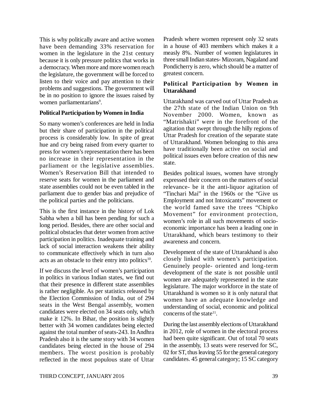This is why politically aware and active women have been demanding 33% reservation for women in the legislature in the 21st century because it is only pressure politics that works in a democracy. When more and more women reach the legislature, the government will be forced to listen to their voice and pay attention to their problems and suggestions. The government will be in no position to ignore the issues raised by women parliamentarians<sup>9</sup>.

### **Political Participation by Women in India**

So many women's conferences are held in India but their share of participation in the political process is considerably low. In spite of great hue and cry being raised from every quarter to press for women's representation there has been no increase in their representation in the parliament or the legislative assemblies. Women's Reservation Bill that intended to reserve seats for women in the parliament and state assemblies could not be even tabled in the parliament due to gender bias and prejudice of the political parties and the politicians.

This is the first instance in the history of Lok Sabha when a bill has been pending for such a long period. Besides, there are other social and political obstacles that deter women from active participation in politics. Inadequate training and lack of social interaction weakens their ability to communicate effectively which in turn also acts as an obstacle to their entry into politics<sup>10</sup>.

If we discuss the level of women's participation in politics in various Indian states, we find out that their presence in different state assemblies is rather negligible. As per statistics released by the Election Commission of India, out of 294 seats in the West Bengal assembly, women candidates were elected on 34 seats only, which make it 12%. In Bihar, the position is slightly better with 34 women candidates being elected against the total number of seats-243. In Andhra Pradesh also it is the same story with 34 women candidates being elected in the house of 294 members. The worst position is probably reflected in the most populous state of Uttar Pradesh where women represent only 32 seats in a house of 403 members which makes it a measly 8%. Number of women legislatures in three small Indian states- Mizoram, Nagaland and Pondicherry is zero, which should be a matter of greatest concern.

### **Political Participation by Women in Uttarakhand**

Uttarakhand was carved out of Uttar Pradesh as the 27th state of the Indian Union on 9th November 2000. Women, known as "Matrishakti" were in the forefront of the agitation that swept through the hilly regions of Uttar Pradesh for creation of the separate state of Uttarakhand. Women belonging to this area have traditionally been active on social and political issues even before creation of this new state.

Besides political issues, women have strongly expressed their concern on the matters of social relevance- be it the anti-liquor agitation of "Tinchari Mai" in the 1960s or the "Give us Employment and not Intoxicants" movement or the world famed save the trees "Chipko Movement" for environment protection, women's role in all such movements of socioeconomic importance has been a leading one in Uttarakhand, which bears testimony to their awareness and concern.

Development of the state of Uttarakhand is also closely linked with women's participation. Genuinely people- oriented and long-term development of the state is not possible until women are adequately represented in the state legislature. The major workforce in the state of Uttarakhand is women so it is only natural that women have an adequate knowledge and understanding of social, economic and political concerns of the state<sup>11</sup>.

During the last assembly elections of Uttarakhand in 2012, role of women in the electoral process had been quite significant. Out of total 70 seats in the assembly, 13 seats were reserved for SC, 02 for ST, thus leaving 55 for the general category candidates. 45 general category; 15 SC category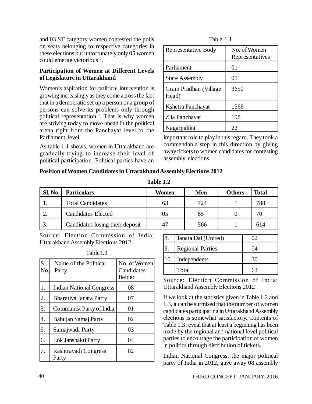and 03 ST category women contested the polls on seats belonging to respective categories in these elections but unfortunately only 05 women could emerge victorious<sup>12</sup>.

# **Participation of Women at Different Levels of Legislature in Uttarakhand**

Women's aspiration for political intervention is growing increasingly as they come across the fact that in a democratic set up a person or a group of persons can solve its problems only through political representation<sup>13</sup>. That is why women are striving today to move ahead in the political arena right from the Panchayat level to the Parliament level.

As table 1.1 shows, women in Uttarakhand are gradually trying to increase their level of political participation. Political parties have an

| 1 AUR 1.1                      |                                 |  |  |
|--------------------------------|---------------------------------|--|--|
| <b>Representative Body</b>     | No. of Women<br>Representatives |  |  |
| Parliament                     | 01                              |  |  |
| <b>State Assembly</b>          | 05                              |  |  |
| Gram Pradhan (Village<br>Head) | 3650                            |  |  |
| Kshetra Panchayat              | 1566                            |  |  |
| Zila Panchayat                 | 198                             |  |  |
| Nagarpalika                    | 22                              |  |  |

Table 1.1

important role to play in this regard. They took a commendable step in this direction by giving away tickets to women candidates for contesting assembly elections.

# **Position of Women Candidates in Uttarakhand Assembly Elections 2012**

| <b>Sl. No.</b> | <b>Particulars</b>              | Women | <b>Men</b> | <b>Others</b> | <b>Total</b> |
|----------------|---------------------------------|-------|------------|---------------|--------------|
|                | <b>Total Candidates</b>         | 63    | 724        |               | 788          |
|                | <b>Candidates Elected</b>       | 05    | 65         |               | 70           |
| 3.             | Candidates losing their deposit | 47    | 566        |               | 614          |

**Table 1.2**

Source: Election Commission of India: Uttarakhand Assembly Elections 2012

| S1.<br>No. | Name of the Political<br>Party  | No. of Women<br>Candidates<br>fielded |
|------------|---------------------------------|---------------------------------------|
| 1.         | <b>Indian National Congress</b> | 08                                    |
| 2.         | Bharatiya Janata Party          | 07                                    |
| 3.         | Communist Party of India        | 01                                    |
| 4.         | Bahujan Samaj Party             | 02                                    |
| 5.         | Samajwadi Party                 | 03                                    |
| 6.         | Lok Janshakti Party             | 04                                    |
| 7.         | Rashtravadi Congress<br>Party   | 02                                    |

| 18. | Janata Dal (United)     | OŽ |
|-----|-------------------------|----|
|     | <b>Regional Parties</b> | 04 |
| 10. | Independents            | 30 |
|     | Total                   |    |

Source: Election Commission of India: Uttarakhand Assembly Elections 2012

If we look at the statistics given in Table 1.2 and 1.3, it can be surmised that the number of women candidates participating in Uttarakhand Assembly elections is somewhat satisfactory. Contents of Table 1.3 reveal that at least a beginning has been made by the regional and national level political parties to encourage the participation of women in politics through distribution of tickets.

Indian National Congress, the major political party of India in 2012, gave away 08 assembly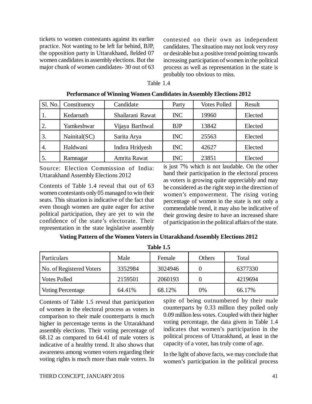tickets to women contestants against its earlier practice. Not wanting to be left far behind, BJP, the opposition party in Uttarakhand, fielded 07 women candidates in assembly elections. But the major chunk of women candidates- 30 out of 63

contested on their own as independent candidates. The situation may not look very rosy or desirable but a positive trend pointing towards increasing participation of women in the political process as well as representation in the state is probably too obvious to miss.

#### Table 1.4

**Performance of Winning Women Candidates in Assembly Elections 2012**

| SI. No. | Constituency  | Candidate        | Party      | <b>Votes Polled</b> | Result  |
|---------|---------------|------------------|------------|---------------------|---------|
| 1.      | Kedarnath     | Shailarani Rawat | <b>INC</b> | 19960               | Elected |
| 2.      | Yamkeshwar    | Vijaya Barthwal  | <b>BJP</b> | 13842               | Elected |
| 3.      | Nainital (SC) | Sarita Arya      | <b>INC</b> | 25563               | Elected |
| 4.      | Haldwani      | Indira Hridyesh  | <b>INC</b> | 42627               | Elected |
| 5.      | Ramnagar      | Amrita Rawat     | <b>INC</b> | 23851               | Elected |

Source: Election Commission of India: Uttarakhand Assembly Elections 2012

Contents of Table 1.4 reveal that out of 63 women contestants only 05 managed to win their seats. This situation is indicative of the fact that even though women are quite eager for active political participation, they are yet to win the confidence of the state's electorate. Their representation in the state legislative assembly

is just 7% which is not laudable. On the other hand their participation in the electoral process as voters is growing quite appreciably and may be considered as the right step in the direction of women's empowerment. The rising voting percentage of women in the state is not only a commendable trend, it may also be indicative of their growing desire to have an increased share of participation in the political affairs of the state.

### **Voting Pattern of the Women Voters in Uttarakhand Assembly Elections 2012**

| Table 1.5                |         |         |                  |         |
|--------------------------|---------|---------|------------------|---------|
| Particulars              | Male    | Female  | Others           | Total   |
| No. of Registered Voters | 3352984 | 3024946 | $\left( \right)$ | 6377330 |
| <b>Votes Polled</b>      | 2159501 | 2060193 | $\theta$         | 4219694 |
| Voting Percentage        | 64.41%  | 68.12%  | 0%               | 66.17%  |

Contents of Table 1.5 reveal that participation of women in the electoral process as voters in comparison to their male counterparts is much higher in percentage terms in the Uttarakhand assembly elections. Their voting percentage of 68.12 as compared to 64.41 of male voters is indicative of a healthy trend. It also shows that awareness among women voters regarding their voting rights is much more than male voters. In spite of being outnumbered by their male counterparts by 0.33 million they polled only 0.09 million less votes. Coupled with their higher voting percentage, the data given in Table 1.4 indicates that women's participation in the political process of Uttarakhand, at least in the capacity of a voter, has truly come of age.

In the light of above facts, we may conclude that women's participation in the political process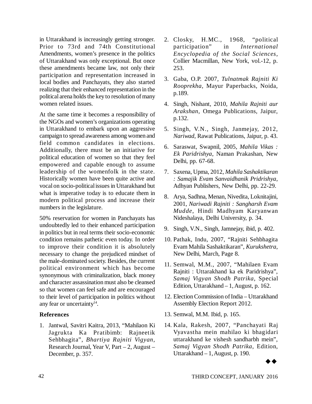in Uttarakhand is increasingly getting stronger. Prior to 73rd and 74th Constitutional Amendments, women's presence in the politics of Uttarakhand was only exceptional. But once these amendments became law, not only their participation and representation increased in local bodies and Panchayats, they also started realizing that their enhanced representation in the political arena holds the key to resolution of many women related issues.

At the same time it becomes a responsibility of the NGOs and women's organizations operating in Uttarakhand to embark upon an aggressive campaign to spread awareness among women and field common candidates in elections. Additionally, there must be an initiative for political education of women so that they feel empowered and capable enough to assume leadership of the womenfolk in the state. Historically women have been quite active and vocal on socio-political issues in Uttarakhand but what is imperative today is to educate them in modern political process and increase their numbers in the legislature.

50% reservation for women in Panchayats has undoubtedly led to their enhanced participation in politics but in real terms their socio-economic condition remains pathetic even today. In order to improve their condition it is absolutely necessary to change the prejudiced mindset of the male-dominated society. Besides, the current political environment which has become synonymous with criminalization, black money and character assassination must also be cleansed so that women can feel safe and are encouraged to their level of participation in politics without any fear or uncertainty<sup>14</sup>.

# **References**

1. Jantwal, Savitri Kaitra, 2013, "Mahilaon Ki Jagrukta Ka Pratibimb: Rajneetik Sehbhagita", *Bhartiya Rajniti Vigyan*, Research Journal, Year V, Part – 2, August – December, p. 357.

- 2. Closky, H.MC., 1968, "political participation" in *International Encyclopedia of the Social Sciences*, Collier Macmillan, New York, vol.-12, p. 253.
- 3. Gaba, O.P. 2007, *Tulnatmak Rajniti Ki Rooprekha*, Mayur Paperbacks, Noida, p.189.
- 4. Singh, Nishant, 2010, *Mahila Rajniti aur Arakshan*, Omega Publications, Jaipur, p.132.
- 5. Singh, V.N., Singh, Janmejay, 2012, *Nariwad*, Rawat Publications, Jaipur, p. 43.
- 6. Saraswat, Swapnil, 2005, *Mahila Vikas : Ek Paridrishya*, Naman Prakashan, New Delhi, pp. 67-68.
- 7. Saxena, Upma, 2012, *Mahila Sashaktikaran : Samajik Evam Sanvaidhanik Pridrishya*, Adhyan Publishers, New Delhi, pp. 22-29.
- 8. Arya, Sadhna, Menan, Nivedita, Loknitajini, 2001, *Nariwadi Rajniti : Sangharsh Evam Mudde*, Hindi Madhyam Karyanwan Nideshalaya, Delhi University, p. 34.
- 9. Singh, V.N., Singh, Jamnejay, ibid, p. 402.
- 10. Pathak, Indu, 2007, "Rajniti Sehbhagita Evam Mahila Sashaktikaran", *Kurukshetra*, New Delhi, March, Page 8.
- 11. Semwal, M.M., 2007, "Mahilaen Evam Rajniti : Uttarakhand ka ek Paridrishya", *Samaj Vigyan Shodh Patrika*, Special Edition, Uttarakhand – 1, August, p. 162.
- 12. Election Commission of India Uttarakhand Assembly Election Report 2012.
- 13. Semwal, M.M. Ibid, p. 165.
- 14. Kala, Rakesh, 2007, "Panchayati Raj Vyavastha mein mahilao ki bhagidari uttarakhand ke vishesh sandharbh mein", *Samaj Vigyan Shodh Patrika*, Edition, Uttarakhand – 1, August, p. 190.

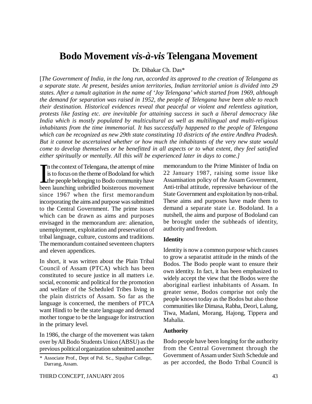# **Bodo Movement** *vis-à-vis* **Telengana Movement**

Dr. Dibakar Ch. Das\*

[*The Government of India, in the long run, accorded its approved to the creation of Telangana as a separate state. At present, besides union territories, Indian territorial union is divided into 29 states. After a tumult agitation in the name of 'Joy Telengana' which started from 1969, although the demand for separation was raised in 1952, the people of Telengana have been able to reach their destination. Historical evidences reveal that peaceful or violent and relentless agitation, protests like fasting etc. are inevitable for attaining success in such a liberal democracy like India which is mostly populated by multicultural as well as multilingual and multi-religious inhabitants from the time immemorial. It has successfully happened to the people of Telengana which can be recognized as new 29th state constituting 10 districts of the entire Andhra Pradesh. But it cannot be ascertained whether or how much the inhabitants of the very new state would come to develop themselves or be benefitted in all aspects or to what extent, they feel satisfied either spiritually or mentally. All this will be experienced later in days to come.]*

 $\prod_{i=1}^{n}$ n the context of Telengana, the attempt of mine is to focus on the theme of Bodoland for which the people belonging to Bodo community have been launching unbridled boisterous movement since 1967 when the first memorandum incorporating the aims and purpose was submitted to the Central Government. The prime issues which can be drawn as aims and purposes envisaged in the memorandum are: alienation, unemployment, exploitation and preservation of tribal language, culture, customs and traditions. The memorandum contained seventeen chapters and eleven appendices.

In short, it was written about the Plain Tribal Council of Assam (PTCA) which has been constituted to secure justice in all matters i.e. social, economic and political for the promotion and welfare of the Scheduled Tribes living in the plain districts of Assam. So far as the language is concerned, the members of PTCA want Hindi to be the state language and demand mother tongue to be the language for instruction in the primary level.

In 1986, the charge of the movement was taken over by All Bodo Students Union (ABSU) as the previous political organization submitted another memorandum to the Prime Minister of India on 22 January 1987, raising some issue like Assamisation policy of the Assam Government, Anti-tribal attitude, repressive behaviour of the State Government and exploitation by non-tribal. These aims and purposes have made them to demand a separate state i.e. Bodoland. In a nutshell, the aims and purpose of Bodoland can be brought under the subheads of identity, authority and freedom.

### **Identity**

Identity is now a common purpose which causes to grow a separatist attitude in the minds of the Bodos. The Bodo people want to ensure their own identity. In fact, it has been emphasized to widely accept the view that the Bodos were the aboriginal earliest inhabitants of Assam. In greater sense, Bodos comprise not only the people known today as the Bodos but also those communities like Dimasa, Rabha, Deori, Lalung, Tiwa, Madani, Morang, Hajong, Tippera and Mahalia.

# **Authority**

Bodo people have been longing for the authority from the Central Government through the Government of Assam under Sixth Schedule and as per accorded, the Bodo Tribal Council is

*<sup>\*</sup>* Associate Prof., Dept of Pol. Sc., Sipajhar College, Darrang, Assam.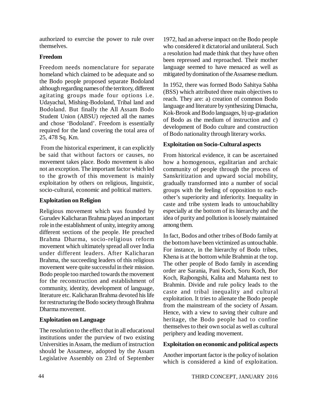authorized to exercise the power to rule over themselves.

# **Freedom**

Freedom needs nomenclature for separate homeland which claimed to be adequate and so the Bodo people proposed separate Bodoland although regarding names of the territory, different agitating groups made four options i.e. Udayachal, Mishing-Bodoland, Tribal land and Bodoland. But finally the All Assam Bodo Student Union (ABSU) rejected all the names and chose 'Bodoland'. Freedom is essentially required for the land covering the total area of 25, 478 Sq. Km.

 From the historical experiment, it can explicitly be said that without factors or causes, no movement takes place. Bodo movement is also not an exception. The important factor which led to the growth of this movement is mainly exploitation by others on religious, linguistic, socio-cultural, economic and political matters.

# **Exploitation on Religion**

Religious movement which was founded by Gurudev Kalicharan Brahma played an important role in the establishment of unity, integrity among different sections of the people. He preached Brahma Dharma, socio-religious reform movement which ultimately spread all over India under different leaders. After Kalicharan Brahma, the succeeding leaders of this religious movement were quite successful in their mission. Bodo people too marched towards the movement for the reconstruction and establishment of community, identity, development of language, literature etc. Kalicharan Brahma devoted his life for restructuring the Bodo society through Brahma Dharma movement.

# **Exploitation on Language**

The resolution to the effect that in all educational institutions under the purview of two existing Universities in Assam, the medium of instruction should be Assamese, adopted by the Assam Legislative Assembly on 23rd of September

1972, had an adverse impact on the Bodo people who considered it dictatorial and unilateral. Such a resolution had made think that they have often been repressed and reproached. Their mother language seemed to have menaced as well as mitigated by domination of the Assamese medium.

In 1952, there was formed Bodo Sahitya Sabha (BSS) which attributed three main objectives to reach. They are: a) creation of common Bodo language and literature by synthesizing Dimacha, Kok-Brook and Bodo languages, b) up-gradation of Bodo as the medium of instruction and c) development of Bodo culture and construction of Bodo nationality through literary works.

# **Exploitation on Socio-Cultural aspects**

From historical evidence, it can be ascertained how a homogenous, egalitarian and archaic community of people through the process of Sanskritization and upward social mobility, gradually transformed into a number of social groups with the feeling of opposition to eachother's superiority and inferiority. Inequality in caste and tribe system leads to untouchability especially at the bottom of its hierarchy and the idea of purity and pollution is loosely maintained among them.

In fact, Bodos and other tribes of Bodo family at the bottom have been victimized as untouchable. For instance, in the hierarchy of Bodo tribes, Khena is at the bottom while Brahmin at the top. The other people of Bodo family in ascending order are Sarania, Pani Koch, Soru Koch, Bor Koch, Rajbongshi, Kalita and Mahanta nest to Brahmin. Divide and rule policy leads to the caste and tribal inequality and cultural exploitation. It tries to alienate the Bodo people from the mainstream of the society of Assam. Hence, with a view to saving their culture and heritage, the Bodo people had to confine themselves to their own social as well as cultural periphery and leading movement.

# **Exploitation on economic and political aspects**

Another important factor is the policy of isolation which is considered a kind of exploitation.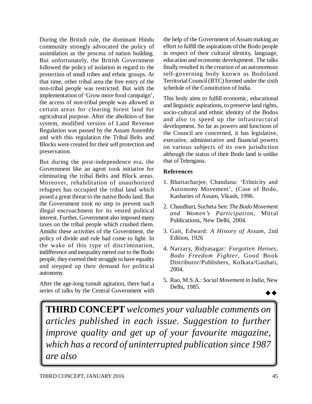During the British rule, the dominant Hindu community strongly advocated the policy of assimilation as the process of nation building. But unfortunately, the British Government followed the policy of isolation in regard to the protection of small tribes and ethnic groups. At that time, other tribal area the free entry of the non-tribal people was restricted. But with the implementation of 'Grow more food campaign', the access of non-tribal people was allowed in certain areas for clearing forest land for agricultural purpose. After the abolition of line system, modified version of Land Revenue Regulation was passed by the Assam Assembly and with this regulation the Tribal Belts and Blocks were created for their self protection and preservation.

But during the post-independence era, the Government like an agent took initiative for eliminating the tribal Belts and Block areas. Moreover, rehabilitation of unauthorized refugees has occupied the tribal land which posed a great threat to the native Bodo land. But the Government took no step to prevent such illegal encroachment for its vested political interest. Further, Government also imposed many taxes on the tribal people which crushed them. Amidst these activities of the Government, the policy of divide and rule had come to light. In the wake of this type of discrimination, indifference and inequality meted out to the Bodo people, they exerted their struggle to have equality and stepped up their demand for political autonomy.

After the age-long tumult agitation, there had a series of talks by the Central Government with the help of the Government of Assam making an effort to fulfill the aspirations of the Bodo people in respect of their cultural identity, language, education and economic development. The talks finally resulted in the creation of an autonomous self-governing body known as Bodoland Territorial Council (BTC) formed under the sixth schedule of the Constitution of India.

This body aims to fulfill economic, educational and linguistic aspirations, to preserve land rights, socio-cultural and ethnic identity of the Bodos and also to speed up the infrastructural development. So far as powers and functions of the Council are concerned, it has legislative, executive, administrative and financial powers on various subjects of its own jurisdiction although the status of their Bodo land is unlike that of Telengana.

# **References**

- 1. Bhattacharjee, Chandana: 'Ethnicity and Autonomy Movement', (Case of Bodo, Kasharies of Assam, Vikash, 1996.
- 2. Chaudhuri, Sucheta Sen: *The Bodo Movement and Women's Participation*, Mittal Publications, New Delhi, 2004.
- 3. Gait, Edward: *A History of Assam*, 2nd Edition, 1926
- 4. Narzary, Bidyasagar: *Forgotten Heroes, Bodo Freedom Fighter*, Good Book Distributor/Publishers, Kolkata/Gauhati, 2004.
- 5. Rao, M.S.A.: *Social Movement in India*, New Delhi, 1985.

 $\rightarrow \rightarrow$ 

**THIRD CONCEPT** *welcomes your valuable comments on articles published in each issue. Suggestion to further improve quality and get up of your favourite magazine, which has a record of uninterrupted publication since 1987 are also*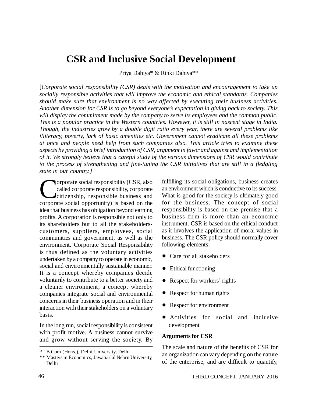# **CSR and Inclusive Social Development**

Priya Dahiya\* & Rinki Dahiya\*\*

[*Corporate social responsibility (CSR) deals with the motivation and encouragement to take up socially responsible activities that will improve the economic and ethical standards. Companies should make sure that environment is no way affected by executing their business activities. Another dimension for CSR is to go beyond everyone's expectation in giving back to society. This will display the commitment made by the company to serve its employees and the common public. This is a popular practice in the Western countries. However, it is still in nascent stage in India. Though, the industries grow by a double digit ratio every year, there are several problems like illiteracy, poverty, lack of basic amenities etc. Government cannot eradicate all these problems at once and people need help from such companies also. This article tries to examine these aspects by providing a brief introduction of CSR, argument in favor and against and implementation of it. We strongly believe that a careful study of the various dimensions of CSR would contribute to the process of strengthening and fine-tuning the CSR initiatives that are still in a fledgling state in our country.]*

Corporate social responsibility (CSR, also<br>called corporate responsibility, corporate<br>citizenship, responsible business and<br>corporate social opportunity) is based on the orporate social responsibility (CSR, also called corporate responsibility, corporate citizenship, responsible business and idea that business has obligation beyond earning profits. A corporation is responsible not only to its shareholders but to all the stakeholderscustomers, suppliers, employees, social communities and government, as well as the environment. Corporate Social Responsibility is thus defined as the voluntary activities undertaken by a company to operate in economic, social and environmentally sustainable manner. It is a concept whereby companies decide voluntarily to contribute to a better society and a cleaner environment; a concept whereby companies integrate social and environmental concerns in their business operation and in their interaction with their stakeholders on a voluntary basis.

In the long run, social responsibility is consistent with profit motive. A business cannot survive and grow without serving the society. By fulfilling its social obligations, business creates an environment which is conductive to its success. What is good for the society is ultimately good for the business. The concept of social responsibility is based on the premise that a business firm is more than an economic instrument. CSR is based on the ethical conduct as it involves the application of moral values in business. The CSR policy should normally cover following elements:

- Care for all stakeholders
- Ethical functioning
- Respect for workers' rights
- Respect for human rights
- Respect for environment
- Activities for social and inclusive development

### **Arguments for CSR**

The scale and nature of the benefits of CSR for an organization can vary depending on the nature of the enterprise, and are difficult to quantify,

<sup>\*</sup> B.Com (Hons.), Delhi University, Delhi

<sup>\*\*</sup> Masters in Economics, Jawaharlal Nehru University, Delhi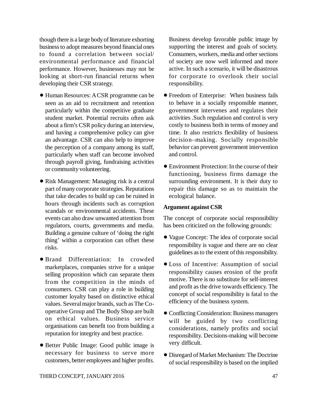though there is a large body of literature exhorting business to adopt measures beyond financial ones to found a correlation between social/ environmental performance and financial performance. However, businesses may not be looking at short-run financial returns when developing their CSR strategy.

- Human Resources: A CSR programme can be seen as an aid to recruitment and retention particularly within the competitive graduate student market. Potential recruits often ask about a firm's CSR policy during an interview, and having a comprehensive policy can give an advantage. CSR can also help to improve the perception of a company among its staff, particularly when staff can become involved through payroll giving, fundraising activities or community volunteering.
- Risk Management: Managing risk is a central part of many corporate strategies. Reputations that take decades to build up can be ruined in hours through incidents such as corruption scandals or environmental accidents. These events can also draw unwanted attention from regulators, courts, governments and media. Building a genuine culture of 'doing the right thing' within a corporation can offset these risks.
- Brand Differentiation: In crowded marketplaces, companies strive for a unique selling proposition which can separate them from the competition in the minds of consumers. CSR can play a role in building customer loyalty based on distinctive ethical values. Several major brands, such as The Cooperative Group and The Body Shop are built on ethical values. Business service organisations can benefit too from building a reputation for integrity and best practice.
- Better Public Image: Good public image is necessary for business to serve more customers, better employees and higher profits.

Business develop favorable public image by supporting the interest and goals of society. Consumers, workers, media and other sections of society are now well informed and more active. In such a scenario, it will be disastrous for corporate to overlook their social responsibility.

- Freedom of Enterprise: When business fails to behave in a socially responsible manner, government intervenes and regulates their activities .Such regulation and control is very costly to business both in terms of money and time. It also restricts flexibility of business decision–making. Socially responsible behavior can prevent government intervention and control.
- Environment Protection: In the course of their functioning, business firms damage the surrounding environment. It is their duty to repair this damage so as to maintain the ecological balance.

# **Argument against CSR**

The concept of corporate social responsibility has been criticized on the following grounds:

- Vague Concept: The idea of corporate social responsibility is vague and there are no clear guidelines as to the extent of this responsibility.
- Loss of Incentive: Assumption of social responsibility causes erosion of the profit motive. There is no substitute for self-interest and profit as the drive towards efficiency. The concept of social responsibility is fatal to the efficiency of the business system.
- Conflicting Consideration: Business managers will be guided by two conflicting considerations, namely profits and social responsibility. Decisions-making will become very difficult.
- Disregard of Market Mechanism: The Doctrine of social responsibility is based on the implied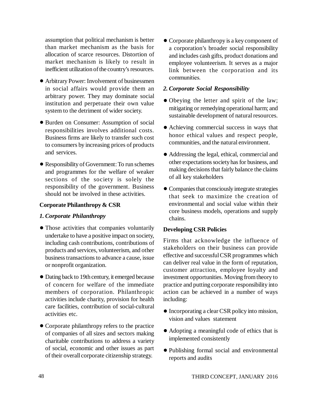assumption that political mechanism is better than market mechanism as the basis for allocation of scarce resources. Distortion of market mechanism is likely to result in inefficient utilization of the country's resources.

- Arbitrary Power: Involvement of businessmen in social affairs would provide them an arbitrary power. They may dominate social institution and perpetuate their own value system to the detriment of wider society.
- Burden on Consumer: Assumption of social responsibilities involves additional costs. Business firms are likely to transfer such cost to consumers by increasing prices of products and services.
- Responsibility of Government: To run schemes and programmes for the welfare of weaker sections of the society is solely the responsibility of the government. Business should not be involved in these activities.

# **Corporate Philanthropy & CSR**

# *1. Corporate Philanthropy*

- Those activities that companies voluntarily undertake to have a positive impact on society, including cash contributions, contributions of products and services, volunteerism, and other business transactions to advance a cause, issue or nonprofit organization.
- Dating back to 19th century, it emerged because of concern for welfare of the immediate members of corporation. Philanthropic activities include charity, provision for health care facilities, contribution of social-cultural activities etc.
- Corporate philanthropy refers to the practice of companies of all sizes and sectors making charitable contributions to address a variety of social, economic and other issues as part of their overall corporate citizenship strategy.

 Corporate philanthropy is a key component of a corporation's broader social responsibility and includes cash gifts, product donations and employee volunteerism. It serves as a major link between the corporation and its communities.

# *2. Corporate Social Responsibility*

- Obeying the letter and spirit of the law; mitigating or remedying operational harm; and sustainable development of natural resources.
- Achieving commercial success in ways that honor ethical values and respect people, communities, and the natural environment.
- Addressing the legal, ethical, commercial and other expectations society has for business, and making decisions that fairly balance the claims of all key stakeholders
- Companies that consciously integrate strategies that seek to maximize the creation of environmental and social value within their core business models, operations and supply chains.

# **Developing CSR Policies**

Firms that acknowledge the influence of stakeholders on their business can provide effective and successful CSR programmes which can deliver real value in the form of reputation, customer attraction, employee loyalty and investment opportunities. Moving from theory to practice and putting corporate responsibility into action can be achieved in a number of ways including:

- Incorporating a clear CSR policy into mission, vision and values statement
- Adopting a meaningful code of ethics that is implemented consistently
- Publishing formal social and environmental reports and audits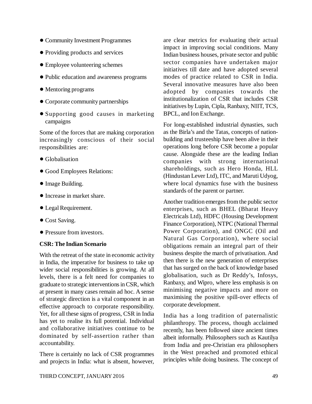- Community Investment Programmes
- Providing products and services
- Employee volunteering schemes
- Public education and awareness programs
- Mentoring programs
- Corporate community partnerships
- Supporting good causes in marketing campaigns

Some of the forces that are making corporation increasingly conscious of their social responsibilities are:

- Globalisation
- Good Employees Relations:
- Image Building.
- **Increase in market share.**
- Legal Requirement.
- Cost Saving.
- Pressure from investors.

# **CSR: The Indian Scenario**

With the retreat of the state in economic activity in India, the imperative for business to take up wider social responsibilities is growing. At all levels, there is a felt need for companies to graduate to strategic interventions in CSR, which at present in many cases remain ad hoc. A sense of strategic direction is a vital component in an effective approach to corporate responsibility. Yet, for all these signs of progress, CSR in India has yet to realise its full potential. Individual and collaborative initiatives continue to be dominated by self-assertion rather than accountability.

There is certainly no lack of CSR programmes and projects in India: what is absent, however, are clear metrics for evaluating their actual impact in improving social conditions. Many Indian business houses, private sector and public sector companies have undertaken major initiatives till date and have adopted several modes of practice related to CSR in India. Several innovative measures have also been adopted by companies towards the institutionalization of CSR that includes CSR initiatives by Lupin, Cipla, Ranbaxy, NIIT, TCS, BPCL, and Ion Exchange.

For long-established industrial dynasties, such as the Birla's and the Tatas, concepts of nationbuilding and trusteeship have been alive in their operations long before CSR become a popular cause. Alongside these are the leading Indian companies with strong international shareholdings, such as Hero Honda, HLL (Hindustan Lever Ltd), ITC, and Maruti Udyog, where local dynamics fuse with the business standards of the parent or partner.

Another tradition emerges from the public sector enterprises, such as BHEL (Bharat Heavy Electricals Ltd), HDFC (Housing Development Finance Corporation), NTPC (National Thermal Power Corporation), and ONGC (Oil and Natural Gas Corporation), where social obligations remain an integral part of their business despite the march of privatisation. And then there is the new generation of enterprises that has surged on the back of knowledge based globalisation, such as Dr Reddy's, Infosys, Ranbaxy, and Wipro, where less emphasis is on minimising negative impacts and more on maximising the positive spill-over effects of corporate development.

India has a long tradition of paternalistic philanthropy. The process, though acclaimed recently, has been followed since ancient times albeit informally. Philosophers such as Kautilya from India and pre-Christian era philosophers in the West preached and promoted ethical principles while doing business. The concept of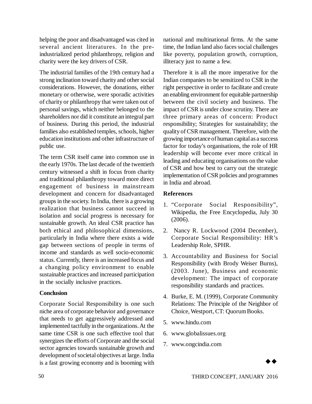helping the poor and disadvantaged was cited in several ancient literatures. In the preindustrialized period philanthropy, religion and charity were the key drivers of CSR.

The industrial families of the 19th century had a strong inclination toward charity and other social considerations. However, the donations, either monetary or otherwise, were sporadic activities of charity or philanthropy that were taken out of personal savings, which neither belonged to the shareholders nor did it constitute an integral part of business. During this period, the industrial families also established temples, schools, higher education institutions and other infrastructure of public use.

The term CSR itself came into common use in the early 1970s. The last decade of the twentieth century witnessed a shift in focus from charity and traditional philanthropy toward more direct engagement of business in mainstream development and concern for disadvantaged groups in the society. In India, there is a growing realization that business cannot succeed in isolation and social progress is necessary for sustainable growth. An ideal CSR practice has both ethical and philosophical dimensions, particularly in India where there exists a wide gap between sections of people in terms of income and standards as well socio-economic status. Currently, there is an increased focus and a changing policy environment to enable sustainable practices and increased participation in the socially inclusive practices.

# **Conclusion**

Corporate Social Responsibility is one such niche area of corporate behavior and governance that needs to get aggressively addressed and implemented tactfully in the organizations. At the same time CSR is one such effective tool that synergizes the efforts of Corporate and the social sector agencies towards sustainable growth and development of societal objectives at large. India is a fast growing economy and is booming with

national and multinational firms. At the same time, the Indian land also faces social challenges like poverty, population growth, corruption, illiteracy just to name a few.

Therefore it is all the more imperative for the Indian companies to be sensitized to CSR in the right perspective in order to facilitate and create an enabling environment for equitable partnership between the civil society and business. The impact of CSR is under close scrutiny. There are three primary areas of concern: Product responsibility; Strategies for sustainability; the quality of CSR management. Therefore, with the growing importance of human capital as a success factor for today's organisations, the role of HR leadership will become ever more critical in leading and educating organisations on the value of CSR and how best to carry out the strategic implementation of CSR policies and programmes in India and abroad.

# **References**

- 1. "Corporate Social Responsibility", Wikipedia, the Free Encyclopedia, July 30 (2006).
- 2. Nancy R. Lockwood (2004 December), Corporate Social Responsibility: HR's Leadership Role, SPHR.
- 3. Accountability and Business for Social Responsibility (with Brody Weiser Burns), (2003. June), Business and economic development: The impact of corporate responsibility standards and practices.
- 4. Burke, E. M. (1999), Corporate Community Relations: The Principle of the Neighbor of Choice, Westport, CT: Quorum Books.
- 5. [www.hindu.com](http://www.hindu.com)
- 6. [www.globalissues.org](http://www.globalissues.org)
- 7. [www.ongcindia.com](http://www.ongcindia.com)

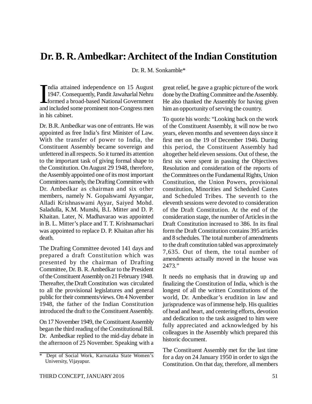# **Dr. B. R. Ambedkar: Architect of the Indian Constitution**

Dr. R. M. Sonkamble\*

 $\prod_{\text{and}}$ ndia attained independence on 15 August 1947. Consequently, Pandit Jawaharlal Nehru formed a broad-based National Government and included some prominent non-Congress men in his cabinet.

Dr. B.R. Ambedkar was one of entrants. He was appointed as free India's first Minister of Law. With the transfer of power to India, the Constituent Assembly became sovereign and unfettered in all respects. So it turned its attention to the important task of giving formal shape to the Constitution. On August 29 1948, therefore, the Assembly appointed one of its most important Committees namely, the Drafting Committee with Dr. Ambedkar as chairman and six other members, namely N. Gopalswami Ayyangar, Alladi Krishnaswami Ayyar, Saiyed Mohd. Saladulla, K.M. Munshi, B.L Mitter and D. P. Khaitan. Later, N. Madhavarao was appointed in B. L. Mitter's place and T. T. Krishnamachari was appointed to replace D. P. Khaitan after his death.

The Drafting Committee devoted 141 days and prepared a draft Constitution which was presented by the chairman of Drafting Committee, Dr. B. R. Ambedkar to the President of the Constituent Assembly on 21 February 1948. Thereafter, the Draft Constitution was circulated to all the provisional legislatures and general public for their comments/views. On 4 November 1948, the father of the Indian Constitution introduced the draft to the Constituent Assembly.

On 17 November 1949, the Constituent Assembly began the third reading of the Constitutional Bill. Dr. Ambedkar replied to the mid-day debate in the afternoon of 25 November. Speaking with a great relief, he gave a graphic picture of the work done by the Drafting Committee and the Assembly. He also thanked the Assembly for having given him an opportunity of serving the country.

To quote his words: "Looking back on the work of the Constituent Assembly, it will now be two years, eleven months and seventeen days since it first met on the 19 of December 1946. During this period, the Constituent Assembly had altogether held eleven sessions. Out of these, the first six were spent in passing the Objectives Resolution and consideration of the reports of the Committees on the Fundamental Rights, Union Constitution, the Union Powers, provisional constitution, Minorities and Scheduled Castes and Scheduled Tribes. The seventh to the eleventh sessions were devoted to consideration of the Draft Constitution. At the end of the consideration stage, the number of Articles in the Draft Constitution increased to 386. In its final form the Draft Constitution contains 395 articles and 8 schedules. The total number of amendments to the draft constitution tabled was approximately 7,635. Out of them, the total number of amendments actually moved in the house was 2473."

It needs no emphasis that in drawing up and finalizing the Constitution of India, which is the longest of all the written Constitutions of the world, Dr. Ambedkar's erudition in law and jurisprudence was of immense help. His qualities of head and heart, and centering efforts, devotion and dedication to the task assigned to him were fully appreciated and acknowledged by his colleagues in the Assembly which prepared this historic document.

The Constituent Assembly met for the last time for a day on 24 January 1950 in order to sign the Constitution. On that day, therefore, all members

Dept of Social Work, Karnataka State Women's University, Vijayapur.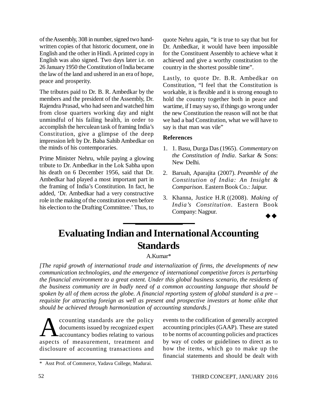of the Assembly, 308 in number, signed two handwritten copies of that historic document, one in English and the other in Hindi. A printed copy in English was also signed. Two days later i.e. on 26 January 1950 the Constitution of India became the law of the land and ushered in an era of hope, peace and prosperity.

The tributes paid to Dr. B. R. Ambedkar by the members and the president of the Assembly, Dr. Rajendra Prasad, who had seen and watched him from close quarters working day and night unmindful of his failing health, in order to accomplish the herculean task of framing India's Constitution, give a glimpse of the deep impression left by Dr. Baba Sahib Ambedkar on the minds of his contemporaries.

Prime Minister Nehru, while paying a glowing tribute to Dr. Ambedkar in the Lok Sabha upon his death on 6 December 1956, said that Dr. Ambedkar had played a most important part in the framing of India's Constitution. In fact, he added, 'Dr. Ambedkar had a very constructive role in the making of the constitution even before his election to the Drafting Committee.' Thus, to quote Nehru again, "it is true to say that but for Dr. Ambedkar, it would have been impossible for the Constituent Assembly to achieve what it achieved and give a worthy constitution to the country in the shortest possible time".

Lastly, to quote Dr. B.R. Ambedkar on Constitution, "I feel that the Constitution is workable, it is flexible and it is strong enough to hold the country together both in peace and wartime, if I may say so, if things go wrong under the new Constitution the reason will not be that we had a bad Constitution, what we will have to say is that man was vile"

### **References**

- 1. 1. Basu, Durga Das (1965). *Commentary on the Constitution of India*. Sarkar & Sons: New Delhi.
- 2. Baruah, Aparajita (2007). *Preamble of the Constitution of India: An Insight & Comparison*. Eastern Book Co.: Jaipur.
- 3. Khanna, Justice H.R ((2008). *Making of India's Constitution*. Eastern Book Company: Nagpur.

# **Evaluating Indian and International Accounting Standards**

### A.Kumar\*

*[The rapid growth of international trade and internalization of firms, the developments of new communication technologies, and the emergence of international competitive forces is perturbing the financial environment to a great extent. Under this global business scenario, the residents of the business community are in badly need of a common accounting language that should be spoken by all of them across the globe. A financial reporting system of global standard is a pre – requisite for attracting foreign as well as present and prospective investors at home alike that should be achieved through harmonization of accounting standards.]*

**A** ccounting standards are the policy<br>documents issued by recognized expert<br>accountancy bodies relating to various<br>aspects of measurement, treatment and ccounting standards are the policy documents issued by recognized expert **A** accountancy bodies relating to various disclosure of accounting transactions and

events to the codification of generally accepted accounting principles (GAAP). These are stated to be norms of accounting policies and practices by way of codes or guidelines to direct as to how the items, which go to make up the financial statements and should be dealt with

<sup>\*</sup> Asst Prof. of Commerce, Yadava College, Madurai.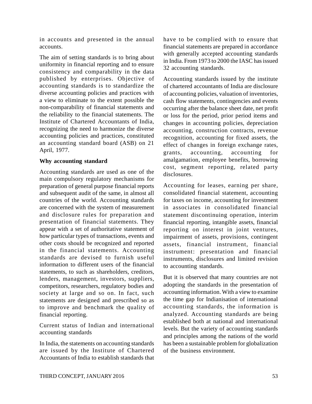in accounts and presented in the annual accounts.

The aim of setting standards is to bring about uniformity in financial reporting and to ensure consistency and comparability in the data published by enterprises. Objective of accounting standards is to standardize the diverse accounting policies and practices with a view to eliminate to the extent possible the non-comparability of financial statements and the reliability to the financial statements. The Institute of Chartered Accountants of India, recognizing the need to harmonize the diverse accounting policies and practices, constituted an accounting standard board (ASB) on 21 April, 1977.

### **Why accounting standard**

Accounting standards are used as one of the main compulsory regulatory mechanisms for preparation of general purpose financial reports and subsequent audit of the same, in almost all countries of the world. Accounting standards are concerned with the system of measurement and disclosure rules for preparation and presentation of financial statements. They appear with a set of authoritative statement of how particular types of transactions, events and other costs should be recognized and reported in the financial statements. Accounting standards are devised to furnish useful information to different users of the financial statements, to such as shareholders, creditors, lenders, management, investors, suppliers, competitors, researchers, regulatory bodies and society at large and so on. In fact, such statements are designed and prescribed so as to improve and benchmark the quality of financial reporting.

Current status of Indian and international accounting standards

In India, the statements on accounting standards are issued by the Institute of Chartered Accountants of India to establish standards that have to be complied with to ensure that financial statements are prepared in accordance with generally accepted accounting standards in India. From 1973 to 2000 the IASC has issued 32 accounting standards.

Accounting standards issued by the institute of chartered accountants of India are disclosure of accounting policies, valuation of inventories, cash flow statements, contingencies and events occurring after the balance sheet date, net profit or loss for the period, prior period items and changes in accounting policies, depreciation accounting, construction contracts, revenue recognition, accounting for fixed assets, the effect of changes in foreign exchange rates, grants, accounting, accounting for amalgamation, employee benefits, borrowing cost, segment reporting, related party disclosures.

Accounting for leases, earning per share, consolidated financial statement, accounting for taxes on income, accounting for investment in associates in consolidated financial statement discontinuing operation, interim financial reporting, intangible assets, financial reporting on interest in joint ventures, impairment of assets, provisions, contingent assets, financial instrument, financial instrument: presentation and financial instruments, disclosures and limited revision to accounting standards.

But it is observed that many countries are not adopting the standards in the presentation of accounting information. With a view to examine the time gap for Indianisation of international accounting standards, the information is analyzed. Accounting standards are being established both at national and international levels. But the variety of accounting standards and principles among the nations of the world has been a sustainable problem for globalization of the business environment.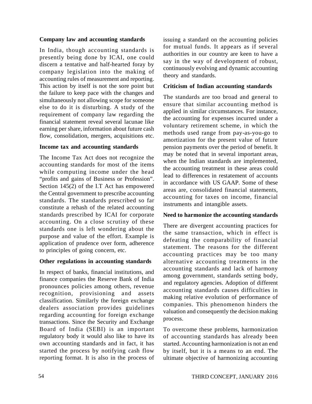### **Company law and accounting standards**

In India, though accounting standards is presently being done by ICAI, one could discern a tentative and half-hearted foray by company legislation into the making of accounting rules of measurement and reporting. This action by itself is not the sore point but the failure to keep pace with the changes and simultaneously not allowing scope for someone else to do it is disturbing. A study of the requirement of company law regarding the financial statement reveal several lacunae like earning per share, information about future cash flow, consolidation, mergers, acquisitions etc.

### **Income tax and accounting standards**

The Income Tax Act does not recognize the accounting standards for most of the items while computing income under the head "profits and gains of Business or Profession". Section 145(2) of the I.T Act has empowered the Central government to prescribe accounting standards. The standards prescribed so far constitute a rehash of the related accounting standards prescribed by ICAI for corporate accounting. On a close scrutiny of these standards one is left wondering about the purpose and value of the effort. Example is application of prudence over form, adherence to principles of going concern, etc.

### **Other regulations in accounting standards**

In respect of banks, financial institutions, and finance companies the Reserve Bank of India pronounces policies among others, revenue recognition, provisioning and assets classification. Similarly the foreign exchange dealers association provides guidelines regarding accounting for foreign exchange transactions. Since the Security and Exchange Board of India (SEBI) is an important regulatory body it would also like to have its own accounting standards and in fact, it has started the process by notifying cash flow reporting format. It is also in the process of issuing a standard on the accounting policies for mutual funds. It appears as if several authorities in our country are keen to have a say in the way of development of robust, continuously evolving and dynamic accounting theory and standards.

### **Criticism of Indian accounting standards**

The standards are too broad and general to ensure that similar accounting method is applied in similar circumstances. For instance, the accounting for expenses incurred under a voluntary retirement scheme, in which the methods used range from pay-as-you-go to amortization for the present value of future pension payments over the period of benefit. It may be noted that in several important areas, when the Indian standards are implemented, the accounting treatment in these areas could lead to differences in restatement of accounts in accordance with US GAAP. Some of these areas are, consolidated financial statements, accounting for taxes on income, financial instruments and intangible assets.

### **Need to harmonize the accounting standards**

There are divergent accounting practices for the same transaction, which in effect is defeating the comparability of financial statement. The reasons for the different accounting practices may be too many alternative accounting treatments in the accounting standards and lack of harmony among government, standards setting body, and regulatory agencies. Adoption of different accounting standards causes difficulties in making relative evolution of performance of companies. This phenomenon hinders the valuation and consequently the decision making process.

To overcome these problems, harmonization of accounting standards has already been started. Accounting harmonization is not an end by itself, but it is a means to an end. The ultimate objective of harmonizing accounting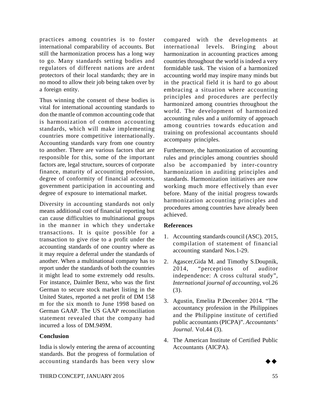practices among countries is to foster international comparability of accounts. But still the harmonization process has a long way to go. Many standards setting bodies and regulators of different nations are ardent protectors of their local standards; they are in no mood to allow their job being taken over by a foreign entity.

Thus winning the consent of these bodies is vital for international accounting standards to don the mantle of common accounting code that is harmonization of common accounting standards, which will make implementing countries more competitive internationally. Accounting standards vary from one country to another. There are various factors that are responsible for this, some of the important factors are, legal structure, sources of corporate finance, maturity of accounting profession, degree of conformity of financial accounts, government participation in accounting and degree of exposure to international market.

Diversity in accounting standards not only means additional cost of financial reporting but can cause difficulties to multinational groups in the manner in which they undertake transactions. It is quite possible for a transaction to give rise to a profit under the accounting standards of one country where as it may require a deferral under the standards of another. When a multinational company has to report under the standards of both the countries it might lead to some extremely odd results. For instance, Daimler Benz, who was the first German to secure stock market listing in the United States, reported a net profit of DM 158 m for the six month to June 1998 based on German GAAP. The US GAAP reconciliation statement revealed that the company had incurred a loss of DM.949M.

### **Conclusion**

India is slowly entering the arena of accounting standards. But the progress of formulation of accounting standards has been very slow

compared with the developments at international levels. Bringing about harmonization in accounting practices among countries throughout the world is indeed a very formidable task. The vision of a harmonized accounting world may inspire many minds but in the practical field it is hard to go about embracing a situation where accounting principles and procedures are perfectly harmonized among countries throughout the world. The development of harmonized accounting rules and a uniformity of approach among countries towards education and training on professional accountants should accompany principles.

Furthermore, the harmonization of accounting rules and principles among countries should also be accompanied by inter-country harmonization in auditing principles and standards. Harmonization initiatives are now working much more effectively than ever before. Many of the initial progress towards harmonization accounting principles and procedures among countries have already been achieved.

# **References**

- 1. Accounting standards council (ASC). 2015, compilation of statement of financial accounting standard Nos.1-29.
- 2. Agascer,Gida M. and Timothy S.Doupnik, 2014, "perceptions of auditor independence: A cross cultural study", *International journal of accounting*, vol.26 (3).
- 3. Agustin, Emelita P.December 2014. "The accountancy profession in the Philippines and the Philippine institute of certified public accountants (PICPA)". *Accountants' Journal*. Vol.44 (3).
- 4. The American Institute of Certified Public Accountants (AICPA).

 $\rightarrow \rightarrow$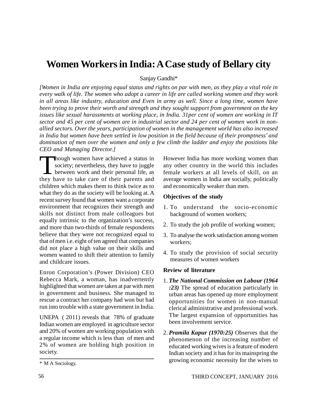# **Women Workers in India: A Case study of Bellary city**

Sanjay Gandhi\*

*[Women in India are enjoying equal status and rights on par with men, as they play a vital role in every walk of life. The women who adopt a career in life are called working women and they work in all areas like industry, education and Even in army as well. Since a long time, women have been trying to prove their worth and strength and they sought support from government on the key issues like sexual harassments at working place, in India. 31per cent of women are working in IT sector and 45 per cent of women are in industrial sector and 24 per cent of women work in nonallied sectors. Over the years, participation of women in the management world has also increased in India but women have been settled in low position in the field because of their promptness' and domination of men over the women and only a few climb the ladder and enjoy the positions like CEO and Managing Director.]*

Though women have achieved a status in society; nevertheless, they have to juggle<br>between work and their personal life, as<br>they have to take care of their parents and hough women have achieved a status in society; nevertheless, they have to juggle between work and their personal life, as children which makes them to think twice as to what they do as the society will be looking at. A recent survey found that women want a corporate environment that recognizes their strength and skills not distinct from male colleagues but equally intrinsic to the organization's success, and more than two-thirds of female respondents believe that they were not recognized equal to that of men i.e. eight of ten agreed that companies did not place a high value on their skills and women wanted to shift their attention to family and childcare issues.

Enron Corporation's (Power Division) CEO Rebecca Mark, a woman, has inadvertently highlighted that women are taken at par with men in government and business. She managed to rescue a contract her company had won but had run into trouble with a state government in India.

UNEPA ( 2011) reveals that 78% of graduate Indian women are employed in agriculture sector and 20% of women are working population with a regular income which is less than of men and 2% of women are holding high position in society.

### **Objectives of the study**

- 1. To understand the socio-economic background of women workers;
- 2. To study the job profile of working women;
- 3. To analyse the work satisfaction among women workers;
- 4. To study the provision of social security measures of women workers

#### **Review of literature**

- 1. *The National Commission on Labour (1964 :23)* The spread of education particularly in urban areas has opened up more employment opportunities for women in non-manual clerical administrative and professional work. The largest expansion of opportunities has been involvement service.
- 2. *Pramila Kapur (1970:25)* Observes that the phenomenon of the increasing number of educated working wives is a feature of modern Indian society and it has for its mainspring the growing economic necessity for the wives to

However India has more working women than any other country in the world this includes female workers at all levels of skill, on an average women in India are socially, politically and economically weaker than men.

<sup>\*</sup> M A Sociology.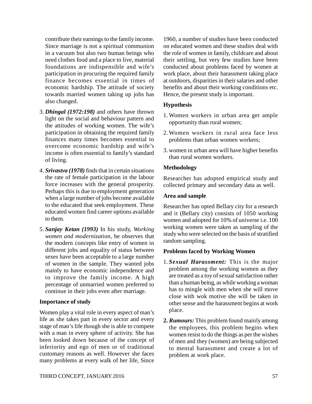contribute their earnings to the family income. Since marriage is not a spiritual communion in a vacuum but also two human beings who need clothes food and a place to live, material foundations are indispensible and wife's participation in procuring the required family finance becomes essential in times of economic hardship. The attitude of society towards married women taking up jobs has also changed.

- 3. *Dhingal (1972:198)* and others have thrown light on the social and behaviour pattern and the attitudes of working women. The wife's participation in obtaining the required family finances many times becomes essential to overcome economic hardship and wife's income is often essential to family's standard of living.
- 4. *Srivastva (1978)* finds that in certain situations the rate of female participation in the labour force increases with the general prosperity. Perhaps this is due to employment generation when a large number of jobs become available to the educated that seek employment. These educated women find career options available to them.
- 5. *Sanjay Ketan (1993)* In his study, *Working women and modernization*, he observes that the modern concepts like entry of women in different jobs and equality of status between sexes have been acceptable to a large number of women in the sample. They wanted jobs mainly to have economic independence and to improve the family income. A high percentage of unmarried women preferred to continue in their jobs even after marriage.

### **Importance of study**

Women play a vital role in every aspect of man's life as she takes part in every sector and every stage of man's life though she is able to compete with a man in every sphere of activity. She has been looked down because of the concept of inferiority and ego of men or of traditional customary reasons as well. However she faces many problems at every walk of her life, Since

1960, a number of studies have been conducted on educated women and these studies deal with the role of women in family, childcare and about their settling, but very few studies have been conducted about problems faced by women at work place, about their harassment taking place at outdoors, disparities in their salaries and other benefits and about their working conditions etc. Hence, the present study is important.

### **Hypothesis**

- 1. Women workers in urban area get ample opportunity than rural women;
- 2. Women workers in rural area face less problems than urban women workers;
- 3. women in urban area will have higher benefits than rural women workers.

### **Methodology**

Researcher has adopted empirical study and collected primary and secondary data as well.

### **Area and sample**

Researcher has opted Bellary city for a research and it (Bellary city) consists of 1050 working women and adopted for 10% of universe i.e. 100 working women were taken as sampling of the study who were selected on the basis of stratified random sampling.

### **Problems faced by Working Women**

- 1. *Sexual Harassment:* This is the major problem among the working women as they are treated as a toy of sexual satisfaction rather than a human being, as while working a woman has to mingle with men when she will move close with wok motive she will be taken in other sense and the harassment begins at work place.
- **2.** *Rumours:* This problem found mainly among the employees, this problem begins when women resist to do the things as per the wishes of men and they (women) are being subjected to mental harassment and create a lot of problem at work place.